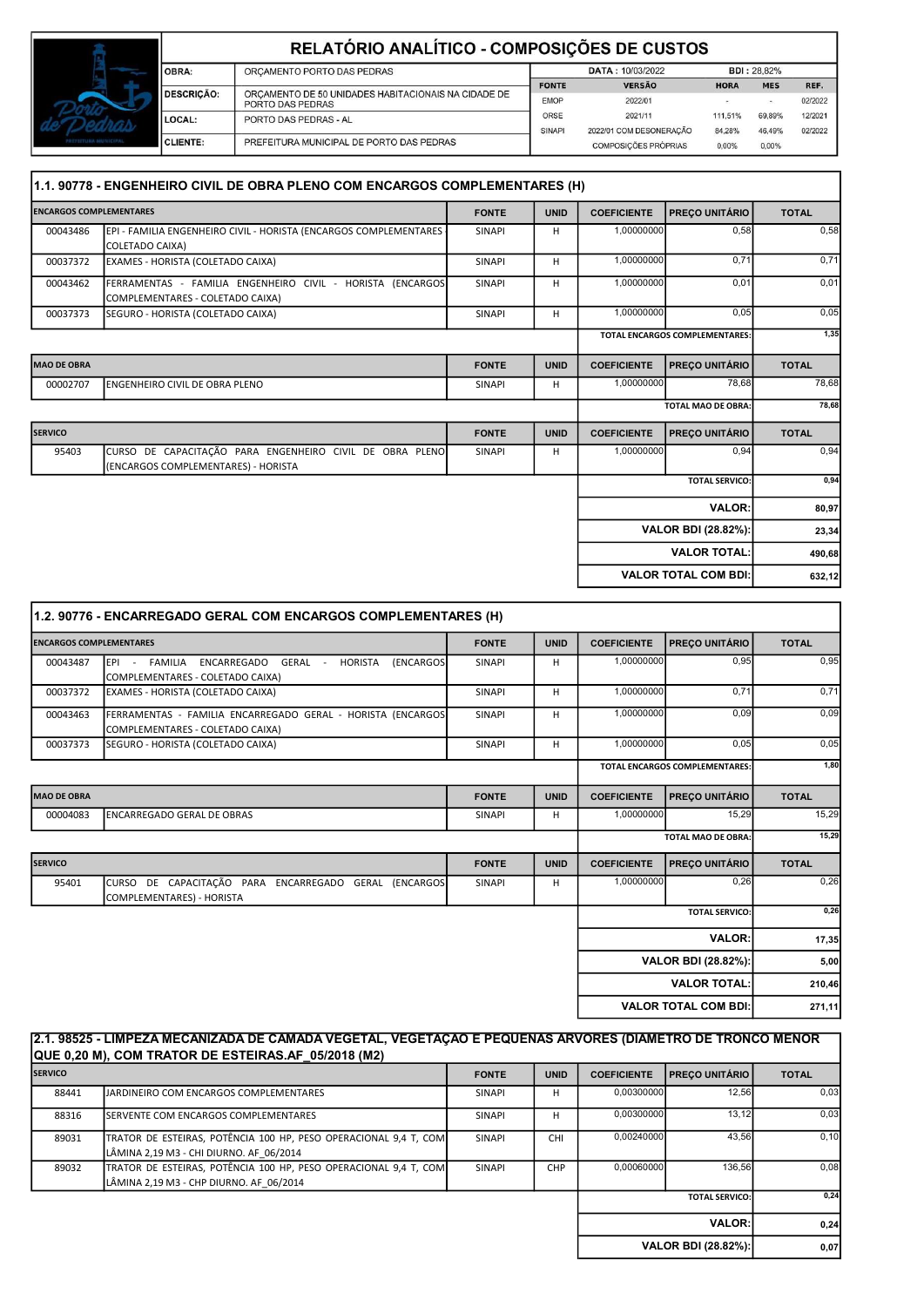|                       | RELATÓRIO ANALÍTICO - COMPOSIÇÕES DE CUSTOS |                                                                         |                         |                             |             |                    |         |  |  |  |
|-----------------------|---------------------------------------------|-------------------------------------------------------------------------|-------------------------|-----------------------------|-------------|--------------------|---------|--|--|--|
|                       | OBRA:                                       | ORCAMENTO PORTO DAS PEDRAS                                              | <b>DATA: 10/03/2022</b> |                             |             | <b>BDI: 28.82%</b> |         |  |  |  |
|                       |                                             |                                                                         | <b>FONTE</b>            | <b>VERSÃO</b>               | <b>HORA</b> | <b>MES</b>         | REF.    |  |  |  |
|                       | <b>DESCRICÃO:</b>                           | ORCAMENTO DE 50 UNIDADES HABITACIONAIS NA CIDADE DE<br>PORTO DAS PEDRAS | <b>EMOP</b>             | 2022/01                     |             | $\sim$             | 02/2022 |  |  |  |
|                       | LOCAL:                                      | PORTO DAS PEDRAS - AL                                                   | <b>ORSE</b>             | 2021/11                     | 111,51%     | 69.89%             | 12/2021 |  |  |  |
|                       |                                             |                                                                         | SINAPI                  | 2022/01 COM DESONERAÇÃO     | 84.28%      | 46.49%             | 02/2022 |  |  |  |
| PREFEETURA SOUNICIPAL | <b>CLIENTE:</b>                             | PREFEITURA MUNICIPAL DE PORTO DAS PEDRAS                                |                         | <b>COMPOSICÕES PRÓPRIAS</b> | 0.00%       | $0.00\%$           |         |  |  |  |

| 1.1. 90778 - ENGENHEIRO CIVIL DE OBRA PLENO COM ENCARGOS COMPLEMENTARES (H) |                                                                                                 |               |             |                    |                                       |              |  |
|-----------------------------------------------------------------------------|-------------------------------------------------------------------------------------------------|---------------|-------------|--------------------|---------------------------------------|--------------|--|
| <b>ENCARGOS COMPLEMENTARES</b>                                              |                                                                                                 | <b>FONTE</b>  | <b>UNID</b> | <b>COEFICIENTE</b> | <b>PREÇO UNITÁRIO</b>                 | <b>TOTAL</b> |  |
| 00043486                                                                    | EPI - FAMILIA ENGENHEIRO CIVIL - HORISTA (ENCARGOS COMPLEMENTARES<br><b>COLETADO CAIXA)</b>     | <b>SINAPI</b> | н           | 1,00000000         | 0,58                                  | 0,58         |  |
| 00037372                                                                    | EXAMES - HORISTA (COLETADO CAIXA)                                                               | SINAPI        | H           | 1,00000000         | 0.71                                  | 0,71         |  |
| 00043462                                                                    | FERRAMENTAS - FAMILIA ENGENHEIRO CIVIL - HORISTA (ENCARGOS<br>COMPLEMENTARES - COLETADO CAIXA)  | SINAPI        | H           | 1,00000000         | 0,01                                  | 0,01         |  |
| 00037373                                                                    | SEGURO - HORISTA (COLETADO CAIXA)                                                               | SINAPI        | H           | 1,00000000         | 0,05                                  | 0,05         |  |
|                                                                             |                                                                                                 |               |             |                    | <b>TOTAL ENCARGOS COMPLEMENTARES:</b> | 1,35         |  |
| <b>MAO DE OBRA</b>                                                          |                                                                                                 | <b>FONTE</b>  | <b>UNID</b> | <b>COEFICIENTE</b> | PREÇO UNITÁRIO                        | <b>TOTAL</b> |  |
| 00002707                                                                    | ENGENHEIRO CIVIL DE OBRA PLENO                                                                  | <b>SINAPI</b> | H           | 1,00000000         | 78,68                                 | 78.68        |  |
|                                                                             |                                                                                                 |               |             |                    | <b>TOTAL MAO DE OBRA:</b>             | 78.68        |  |
| <b>SERVICO</b>                                                              |                                                                                                 | <b>FONTE</b>  | <b>UNID</b> | <b>COEFICIENTE</b> | PREÇO UNITÁRIO                        | <b>TOTAL</b> |  |
| 95403                                                                       | CURSO DE CAPACITAÇÃO PARA ENGENHEIRO CIVIL DE OBRA PLENO<br>(ENCARGOS COMPLEMENTARES) - HORISTA | SINAPI        | H           | 1,00000000         | 0,94                                  | 0,94         |  |
|                                                                             |                                                                                                 |               |             |                    | <b>TOTAL SERVICO:</b>                 | 0,94         |  |
|                                                                             |                                                                                                 |               |             |                    | <b>VALOR:</b>                         | 80,97        |  |
|                                                                             |                                                                                                 |               |             |                    | <b>VALOR BDI (28.82%):</b>            | 23,34        |  |
|                                                                             |                                                                                                 |               |             |                    | <b>VALOR TOTAL:</b>                   | 490,68       |  |
|                                                                             |                                                                                                 |               |             |                    | <b>VALOR TOTAL COM BDI:</b>           | 632,12       |  |

| 1.2. 90776 - ENCARREGADO GERAL COM ENCARGOS COMPLEMENTARES (H) |                                                                                                         |               |             |                    |                                       |              |  |
|----------------------------------------------------------------|---------------------------------------------------------------------------------------------------------|---------------|-------------|--------------------|---------------------------------------|--------------|--|
| <b>ENCARGOS COMPLEMENTARES</b>                                 |                                                                                                         | <b>FONTE</b>  | <b>UNID</b> | <b>COEFICIENTE</b> | PREÇO UNITÁRIO                        | <b>TOTAL</b> |  |
| 00043487                                                       | EPI - FAMILIA<br>GERAL - HORISTA<br><b>(ENCARGOS</b><br>ENCARREGADO<br>COMPLEMENTARES - COLETADO CAIXA) | <b>SINAPI</b> | H           | 1,00000000         | 0,95                                  | 0,95         |  |
| 00037372                                                       | EXAMES - HORISTA (COLETADO CAIXA)                                                                       | <b>SINAPI</b> | H           | 1,00000000         | 0.71                                  | 0,71         |  |
| 00043463                                                       | FERRAMENTAS - FAMILIA ENCARREGADO GERAL - HORISTA (ENCARGOS<br>COMPLEMENTARES - COLETADO CAIXA)         | <b>SINAPI</b> | H           | 1,00000000         | 0,09                                  | 0,09         |  |
| 00037373                                                       | SEGURO - HORISTA (COLETADO CAIXA)                                                                       | <b>SINAPI</b> | H           | 1,00000000         | 0.05                                  | 0,05         |  |
|                                                                |                                                                                                         |               |             |                    | <b>TOTAL ENCARGOS COMPLEMENTARES:</b> | 1,80         |  |
| <b>MAO DE OBRA</b>                                             |                                                                                                         | <b>FONTE</b>  | <b>UNID</b> | <b>COEFICIENTE</b> | <b>PREÇO UNITÁRIO</b>                 | <b>TOTAL</b> |  |
| 00004083                                                       | <b>ENCARREGADO GERAL DE OBRAS</b>                                                                       | <b>SINAPI</b> | H           | 1,00000000         | 15,29                                 | 15,29        |  |
|                                                                |                                                                                                         |               |             |                    | <b>TOTAL MAO DE OBRA:</b>             | 15,29        |  |
| <b>SERVICO</b>                                                 |                                                                                                         | <b>FONTE</b>  | <b>UNID</b> | <b>COEFICIENTE</b> | <b>PRECO UNITÁRIO</b>                 | <b>TOTAL</b> |  |
| 95401                                                          | CURSO DE CAPACITAÇÃO PARA ENCARREGADO GERAL (ENCARGOS<br>COMPLEMENTARES) - HORISTA                      | <b>SINAPI</b> | H           | 1,00000000         | 0,26                                  | 0,26         |  |
|                                                                |                                                                                                         |               |             |                    | <b>TOTAL SERVICO:</b>                 | 0,26         |  |
|                                                                |                                                                                                         |               |             |                    | <b>VALOR:</b>                         | 17,35        |  |
|                                                                |                                                                                                         |               |             |                    | <b>VALOR BDI (28.82%):</b>            | 5,00         |  |
|                                                                |                                                                                                         |               |             |                    | <b>VALOR TOTAL:</b>                   | 210,46       |  |
|                                                                |                                                                                                         |               |             |                    | <b>VALOR TOTAL COM BDI:</b>           | 271,11       |  |

| 2.1. 98525 - LIMPEZA MECANIZADA DE CAMADA VEGETAL, VEGETAÇÃO E PEQUENAS ARVORES (DIÂMETRO DE TRONCO MENOR<br>QUE 0,20 M), COM TRATOR DE ESTEIRAS.AF 05/2018 (M2) |                                                                                                             |               |             |                    |                         |              |  |
|------------------------------------------------------------------------------------------------------------------------------------------------------------------|-------------------------------------------------------------------------------------------------------------|---------------|-------------|--------------------|-------------------------|--------------|--|
| <b>SERVICO</b>                                                                                                                                                   |                                                                                                             | <b>FONTE</b>  | <b>UNID</b> | <b>COEFICIENTE</b> | <b>PRECO UNITÁRIO I</b> | <b>TOTAL</b> |  |
| 88441                                                                                                                                                            | JARDINEIRO COM ENCARGOS COMPLEMENTARES                                                                      | <b>SINAPI</b> | H           | 0,00300000         | 12,56                   | 0,03         |  |
| 88316                                                                                                                                                            | <b>ISERVENTE COM ENCARGOS COMPLEMENTARES</b>                                                                | <b>SINAPI</b> | H           | 0,00300000         | 13,12                   | 0,03         |  |
| 89031                                                                                                                                                            | TRATOR DE ESTEIRAS, POTÊNCIA 100 HP, PESO OPERACIONAL 9,4 T, COM<br>LÂMINA 2,19 M3 - CHI DIURNO. AF 06/2014 | <b>SINAPI</b> | <b>CHI</b>  | 0.00240000         | 43,56                   | 0.10         |  |
| 89032                                                                                                                                                            | TRATOR DE ESTEIRAS, POTÊNCIA 100 HP, PESO OPERACIONAL 9,4 T, COM<br>LÂMINA 2,19 M3 - CHP DIURNO. AF 06/2014 | <b>SINAPI</b> | <b>CHP</b>  | 0.00060000         | 136.56                  | 0,08         |  |
|                                                                                                                                                                  |                                                                                                             |               |             |                    | <b>TOTAL SERVICO:</b>   | 0,24         |  |
|                                                                                                                                                                  |                                                                                                             |               |             |                    | <b>VALOR:</b>           | 0,24         |  |
|                                                                                                                                                                  |                                                                                                             |               |             |                    | VALOR BDI (28.82%):     | 0,07         |  |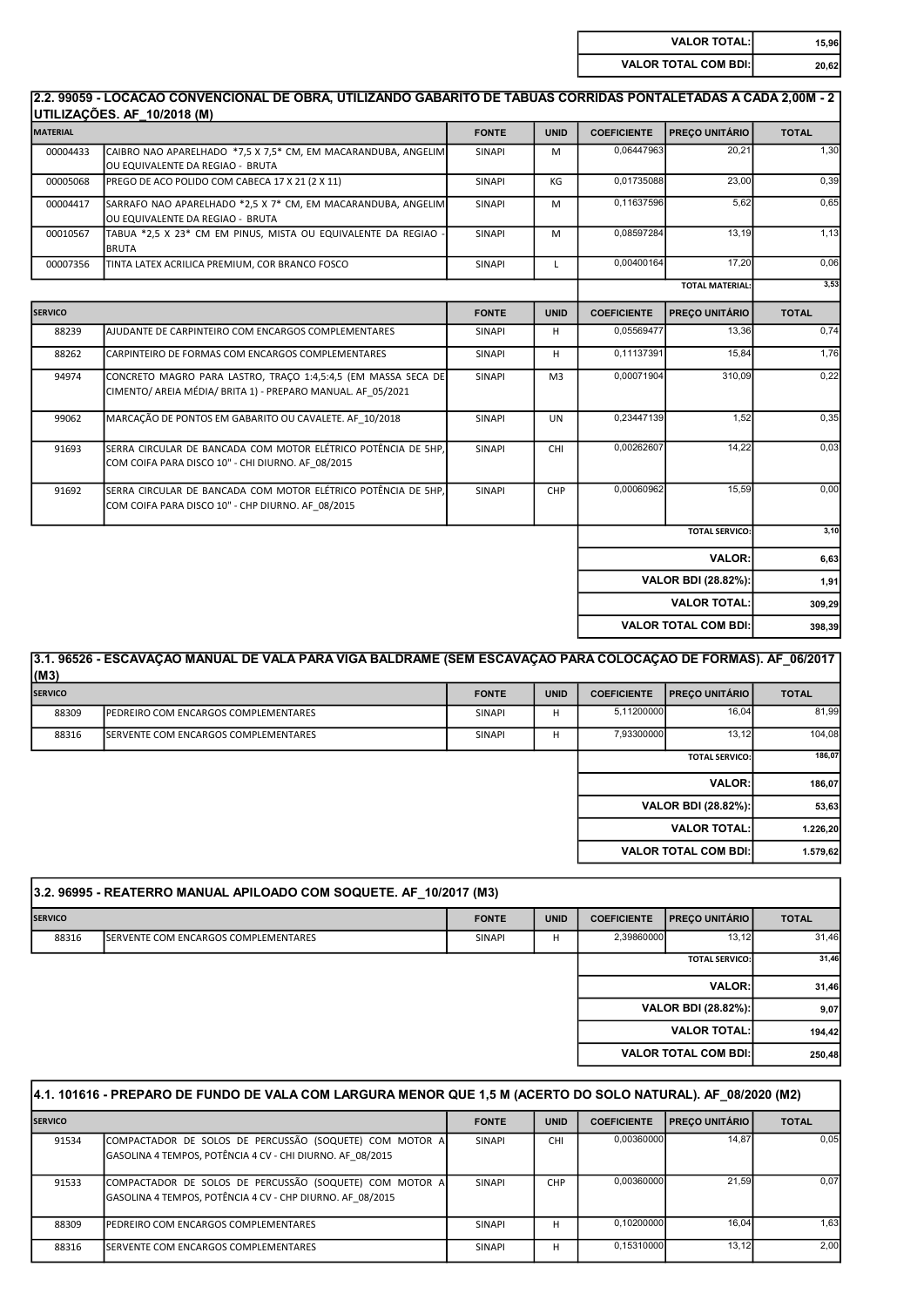| <b>VALOR TOTAL:</b>         | 15.96 |
|-----------------------------|-------|
| <b>VALOR TOTAL COM BDI:</b> | 20.62 |

#### 2.2. 99059 - LOCACAO CONVENCIONAL DE OBRA, UTILIZANDO GABARITO DE TÁBUAS CORRIDAS PONTALETADAS A CADA 2,00M - 2 UTILIZAÇÕES. AF\_10/2018 (M)

|                 | 011LILAYOLO: AI _10/2010 (M)                                                                                                 |               |                |                    |                             |              |
|-----------------|------------------------------------------------------------------------------------------------------------------------------|---------------|----------------|--------------------|-----------------------------|--------------|
| <b>MATERIAL</b> |                                                                                                                              | <b>FONTE</b>  | <b>UNID</b>    | <b>COEFICIENTE</b> | PREÇO UNITÁRIO              | <b>TOTAL</b> |
| 00004433        | CAIBRO NAO APARELHADO *7,5 X 7,5 * CM, EM MACARANDUBA, ANGELIM<br>OU EQUIVALENTE DA REGIAO - BRUTA                           | <b>SINAPI</b> | M              | 0,06447963         | 20,21                       | 1,30         |
| 00005068        | PREGO DE ACO POLIDO COM CABECA 17 X 21 (2 X 11)                                                                              | SINAPI        | KG             | 0,01735088         | 23,00                       | 0,39         |
| 00004417        | SARRAFO NAO APARELHADO *2,5 X 7* CM, EM MACARANDUBA, ANGELIM<br>OU EQUIVALENTE DA REGIAO - BRUTA                             | SINAPI        | M              | 0,11637596         | 5,62                        | 0,65         |
| 00010567        | TABUA *2,5 X 23* CM EM PINUS, MISTA OU EQUIVALENTE DA REGIAO<br><b>BRUTA</b>                                                 | <b>SINAPI</b> | M              | 0,08597284         | 13,19                       | 1,13         |
| 00007356        | TINTA LATEX ACRILICA PREMIUM, COR BRANCO FOSCO                                                                               | SINAPI        | L              | 0,00400164         | 17,20                       | 0,06         |
|                 |                                                                                                                              |               |                |                    | <b>TOTAL MATERIAL:</b>      | 3,53         |
| <b>SERVICO</b>  |                                                                                                                              | <b>FONTE</b>  | <b>UNID</b>    | <b>COEFICIENTE</b> | PREÇO UNITÁRIO              | <b>TOTAL</b> |
| 88239           | AJUDANTE DE CARPINTEIRO COM ENCARGOS COMPLEMENTARES                                                                          | <b>SINAPI</b> | H.             | 0,05569477         | 13,36                       | 0,74         |
| 88262           | CARPINTEIRO DE FORMAS COM ENCARGOS COMPLEMENTARES                                                                            | SINAPI        | H              | 0,11137391         | 15,84                       | 1,76         |
| 94974           | CONCRETO MAGRO PARA LASTRO, TRACO 1:4,5:4,5 (EM MASSA SECA DE<br>CIMENTO/ AREIA MÉDIA/ BRITA 1) - PREPARO MANUAL. AF 05/2021 | SINAPI        | M <sub>3</sub> | 0,00071904         | 310,09                      | 0,22         |
| 99062           | MARCAÇÃO DE PONTOS EM GABARITO OU CAVALETE. AF 10/2018                                                                       | SINAPI        | <b>UN</b>      | 0,23447139         | 1,52                        | 0,35         |
| 91693           | SERRA CIRCULAR DE BANCADA COM MOTOR ELÉTRICO POTÊNCIA DE 5HP.<br>COM COIFA PARA DISCO 10" - CHI DIURNO. AF 08/2015           | SINAPI        | CHI            | 0,00262607         | 14,22                       | 0,03         |
| 91692           | SERRA CIRCULAR DE BANCADA COM MOTOR ELÉTRICO POTÊNCIA DE 5HP.<br>COM COIFA PARA DISCO 10" - CHP DIURNO. AF 08/2015           | SINAPI        | CHP            | 0,00060962         | 15,59                       | 0,00         |
|                 |                                                                                                                              |               |                |                    | <b>TOTAL SERVICO:</b>       | 3,10         |
|                 |                                                                                                                              |               |                |                    | <b>VALOR:</b>               | 6,63         |
|                 |                                                                                                                              |               |                |                    | <b>VALOR BDI (28.82%):</b>  | 1,91         |
|                 |                                                                                                                              |               |                |                    | <b>VALOR TOTAL:</b>         | 309,29       |
|                 |                                                                                                                              |               |                |                    | <b>VALOR TOTAL COM BDI:</b> | 398,39       |

| (M3)                       | 3.1. 96526 - ESCAVAÇÃO MANUAL DE VALA PARA VIGA BALDRAME (SEM ESCAVAÇÃO PARA COLOCAÇÃO DE FORMAS). AF 06/2017 |               |             |                    |                             |              |
|----------------------------|---------------------------------------------------------------------------------------------------------------|---------------|-------------|--------------------|-----------------------------|--------------|
| <b>SERVICO</b>             |                                                                                                               | <b>FONTE</b>  | <b>UNID</b> | <b>COEFICIENTE</b> | PRECO UNITÁRIO              | <b>TOTAL</b> |
| 88309                      | <b>IPEDREIRO COM ENCARGOS COMPLEMENTARES</b>                                                                  | <b>SINAPI</b> | н           | 5.11200000         | 16.04                       | 81,99        |
| 88316                      | <b>ISERVENTE COM ENCARGOS COMPLEMENTARES</b>                                                                  | <b>SINAPI</b> | н           | 7,93300000         | 13,12                       | 104,08       |
|                            |                                                                                                               |               |             |                    | 186,07                      |              |
|                            |                                                                                                               |               |             | <b>VALOR:</b>      | 186,07                      |              |
| <b>VALOR BDI (28.82%):</b> |                                                                                                               |               |             |                    |                             | 53,63        |
|                            |                                                                                                               |               |             |                    | <b>VALOR TOTAL:</b>         | 1.226,20     |
|                            |                                                                                                               |               |             |                    | <b>VALOR TOTAL COM BDI:</b> | 1.579,62     |
|                            |                                                                                                               |               |             |                    |                             |              |

| <b>TOTAL</b> |
|--------------|
| 31,46        |
| 31,46        |
| 31,46        |
| 9,07         |
| 194,42       |
| 250,48       |
|              |

| 4.1. 101616 - PREPARO DE FUNDO DE VALA COM LARGURA MENOR QUE 1,5 M (ACERTO DO SOLO NATURAL). AF 08/2020 (M2) |                                                                                                                      |               |             |                    |                         |              |  |
|--------------------------------------------------------------------------------------------------------------|----------------------------------------------------------------------------------------------------------------------|---------------|-------------|--------------------|-------------------------|--------------|--|
| <b>SERVICO</b>                                                                                               |                                                                                                                      | <b>FONTE</b>  | <b>UNID</b> | <b>COEFICIENTE</b> | <b>PRECO UNITÁRIO I</b> | <b>TOTAL</b> |  |
| 91534                                                                                                        | COMPACTADOR DE SOLOS DE PERCUSSÃO (SOQUETE) COM MOTOR A<br>GASOLINA 4 TEMPOS, POTÊNCIA 4 CV - CHI DIURNO. AF 08/2015 | <b>SINAPI</b> | <b>CHI</b>  | 0.00360000         | 14.87                   | 0,05         |  |
| 91533                                                                                                        | COMPACTADOR DE SOLOS DE PERCUSSÃO (SOQUETE) COM MOTOR A<br>GASOLINA 4 TEMPOS, POTÊNCIA 4 CV - CHP DIURNO. AF 08/2015 | <b>SINAPI</b> | <b>CHP</b>  | 0.00360000         | 21.59                   | 0.07         |  |
| 88309                                                                                                        | <b>IPEDREIRO COM ENCARGOS COMPLEMENTARES</b>                                                                         | <b>SINAPI</b> | н           | 0.10200000         | 16.04                   | 1,63         |  |
| 88316                                                                                                        | <b>ISERVENTE COM ENCARGOS COMPLEMENTARES</b>                                                                         | <b>SINAPI</b> | н           | 0.15310000         | 13.12                   | 2,00         |  |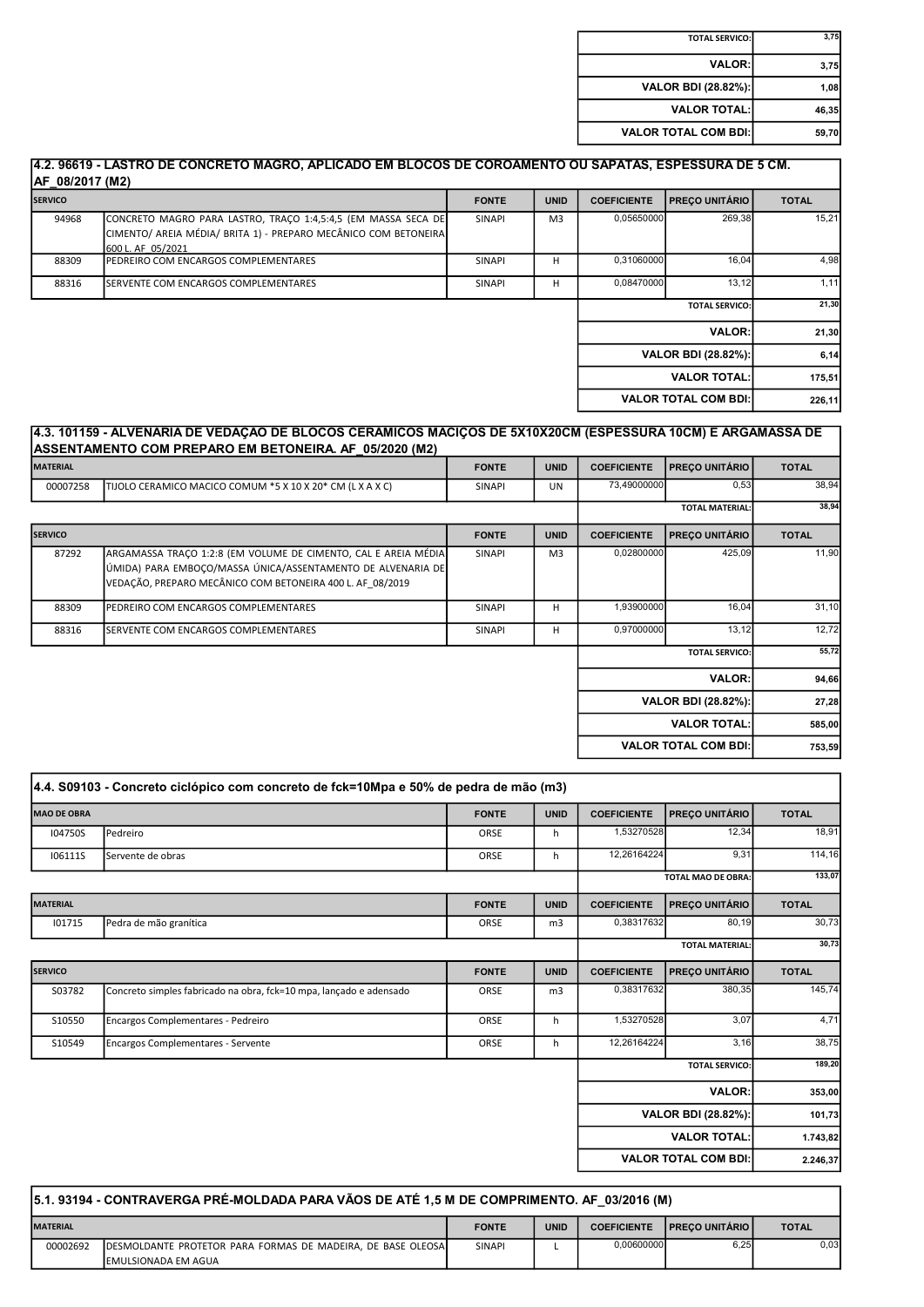| 3,75  | <b>TOTAL SERVICO:</b>       |
|-------|-----------------------------|
| 3,75  | <b>VALOR:</b>               |
| 1,08  | <b>VALOR BDI (28.82%):</b>  |
| 46,35 | <b>VALOR TOTAL:</b>         |
| 59.70 | <b>VALOR TOTAL COM BDI:</b> |

| <b>SERVICO</b> |                                                                                                                                                       | <b>FONTE</b>  | <b>UNID</b>    | <b>COEFICIENTE</b>                     | <b>PRECO UNITÁRIO</b>       | <b>TOTAL</b> |
|----------------|-------------------------------------------------------------------------------------------------------------------------------------------------------|---------------|----------------|----------------------------------------|-----------------------------|--------------|
| 94968          | CONCRETO MAGRO PARA LASTRO, TRACO 1:4,5:4,5 (EM MASSA SECA DE<br>CIMENTO/ AREIA MÉDIA/ BRITA 1) - PREPARO MECÂNICO COM BETONEIRA<br>600 L. AF 05/2021 | <b>SINAPI</b> | M <sub>3</sub> | 0,05650000                             | 269,38                      | 15,21        |
| 88309          | PEDREIRO COM ENCARGOS COMPLEMENTARES                                                                                                                  | <b>SINAPI</b> | н              | 0,31060000                             | 16,04                       | 4,98         |
| 88316          | <b>I</b> SERVENTE COM ENCARGOS COMPLEMENTARES                                                                                                         | <b>SINAPI</b> | н              | 0.08470000                             | 13.12                       | 1,11         |
|                |                                                                                                                                                       |               |                | <b>TOTAL SERVICO:</b><br><b>VALOR:</b> |                             | 21,30        |
|                |                                                                                                                                                       |               |                |                                        |                             | 21,30        |
|                |                                                                                                                                                       |               |                |                                        | VALOR BDI (28.82%):         | 6,14         |
|                |                                                                                                                                                       |               |                |                                        | <b>VALOR TOTAL:</b>         | 175,51       |
|                |                                                                                                                                                       |               |                |                                        | <b>VALOR TOTAL COM BDI:</b> | 226,11       |

#### 4.3. 101159 - ALVENARIA DE VEDAÇÃO DE BLOCOS CERÂMICOS MACIÇOS DE 5X10X20CM (ESPESSURA 10CM) E ARGAMASSA DE ASSENTAMENTO COM PREPARO EM BETONEIRA. AF\_05/2020 (M2)

| <b>MATERIAL</b> |                                                                                                                                                                                             | <b>FONTE</b>  | <b>UNID</b>    | <b>COEFICIENTE</b>         | <b>PREÇO UNITÁRIO</b>       | <b>TOTAL</b> |
|-----------------|---------------------------------------------------------------------------------------------------------------------------------------------------------------------------------------------|---------------|----------------|----------------------------|-----------------------------|--------------|
| 00007258        | TIJOLO CERAMICO MACICO COMUM *5 X 10 X 20* CM (L X A X C)                                                                                                                                   | <b>SINAPI</b> | <b>UN</b>      | 73,49000000                | 0,53                        | 38,94        |
|                 |                                                                                                                                                                                             |               |                |                            | <b>TOTAL MATERIAL:</b>      | 38,94        |
| <b>SERVICO</b>  |                                                                                                                                                                                             | <b>FONTE</b>  | <b>UNID</b>    | <b>COEFICIENTE</b>         | <b>PRECO UNITÁRIO</b>       | <b>TOTAL</b> |
| 87292           | ARGAMASSA TRACO 1:2:8 (EM VOLUME DE CIMENTO, CAL E AREIA MÉDIA)<br>ÚMIDA) PARA EMBOÇO/MASSA ÚNICA/ASSENTAMENTO DE ALVENARIA DE<br>VEDAÇÃO, PREPARO MECÂNICO COM BETONEIRA 400 L. AF 08/2019 | SINAPI        | M <sub>3</sub> | 0,02800000                 | 425,09                      | 11,90        |
| 88309           | PEDREIRO COM ENCARGOS COMPLEMENTARES                                                                                                                                                        | <b>SINAPI</b> | н              | 1,93900000                 | 16,04                       | 31,10        |
| 88316           | SERVENTE COM ENCARGOS COMPLEMENTARES                                                                                                                                                        | SINAPI        | н              | 0,97000000                 | 13,12                       | 12,72        |
|                 |                                                                                                                                                                                             |               |                | <b>TOTAL SERVICO:</b>      | 55,72                       |              |
|                 |                                                                                                                                                                                             |               |                | <b>VALOR:</b>              | 94,66                       |              |
|                 |                                                                                                                                                                                             |               |                | <b>VALOR BDI (28.82%):</b> |                             | 27,28        |
|                 |                                                                                                                                                                                             |               |                |                            | <b>VALOR TOTAL:</b>         | 585,00       |
|                 |                                                                                                                                                                                             |               |                |                            | <b>VALOR TOTAL COM BDI:</b> | 753,59       |

|                    | 4.4. S09103 - Concreto ciclópico com concreto de fck=10Mpa e 50% de pedra de mão (m3) |              |             |                        |                             |              |
|--------------------|---------------------------------------------------------------------------------------|--------------|-------------|------------------------|-----------------------------|--------------|
| <b>MAO DE OBRA</b> |                                                                                       | <b>FONTE</b> | <b>UNID</b> | <b>COEFICIENTE</b>     | <b>PREÇO UNITÁRIO</b>       | <b>TOTAL</b> |
| I04750S            | Pedreiro                                                                              | ORSE         | h           | 1,53270528             | 12,34                       | 18,91        |
| <b>I06111S</b>     | Servente de obras                                                                     | ORSE         | h           | 12,26164224            | 9,31                        | 114,16       |
|                    |                                                                                       |              |             | TOTAL MAO DE OBRA:     |                             | 133,07       |
| <b>MATERIAL</b>    |                                                                                       | <b>FONTE</b> | <b>UNID</b> | <b>COEFICIENTE</b>     | <b>PREÇO UNITÁRIO</b>       | <b>TOTAL</b> |
| 101715             | Pedra de mão granítica                                                                | ORSE         | m3          | 0,38317632             | 80,19                       | 30,73        |
|                    |                                                                                       |              |             | <b>TOTAL MATERIAL:</b> |                             | 30,73        |
| <b>SERVICO</b>     |                                                                                       | <b>FONTE</b> | <b>UNID</b> | <b>COEFICIENTE</b>     | <b>PREÇO UNITÁRIO</b>       | <b>TOTAL</b> |
| S03782             | Concreto simples fabricado na obra, fck=10 mpa, lancado e adensado                    | ORSE         | m3          | 0,38317632             | 380,35                      | 145,74       |
| S10550             | Encargos Complementares - Pedreiro                                                    | ORSE         | h           | 1,53270528             | 3,07                        | 4,71         |
| S10549             | <b>Encargos Complementares - Servente</b>                                             | ORSE         | h           | 12,26164224            | 3,16                        | 38,75        |
|                    |                                                                                       |              |             |                        | <b>TOTAL SERVICO:</b>       | 189,20       |
|                    |                                                                                       |              |             |                        | <b>VALOR:</b>               | 353,00       |
|                    |                                                                                       |              |             |                        | VALOR BDI (28.82%):         | 101,73       |
|                    |                                                                                       |              |             |                        | <b>VALOR TOTAL:</b>         | 1.743,82     |
|                    |                                                                                       |              |             |                        | <b>VALOR TOTAL COM BDI:</b> | 2.246,37     |

| 5.1. 93194 - CONTRAVERGA PRÉ-MOLDADA PARA VÃOS DE ATÉ 1,5 M DE COMPRIMENTO. AF 03/2016 (M) |                                                                      |               |             |                    |                           |              |
|--------------------------------------------------------------------------------------------|----------------------------------------------------------------------|---------------|-------------|--------------------|---------------------------|--------------|
| <b>MATERIAL</b>                                                                            |                                                                      | <b>FONTE</b>  | <b>UNID</b> | <b>COEFICIENTE</b> | <b>I PRECO UNITÁRIO I</b> | <b>TOTAL</b> |
| 00002692                                                                                   | <b>IDESMOLDANTE PROTETOR PARA FORMAS DE MADEIRA. DE BASE OLEOSAI</b> | <b>SINAPI</b> |             | 0.00600000         | 6.25                      | 0.03         |
|                                                                                            | <b>IEMULSIONADA EM AGUA</b>                                          |               |             |                    |                           |              |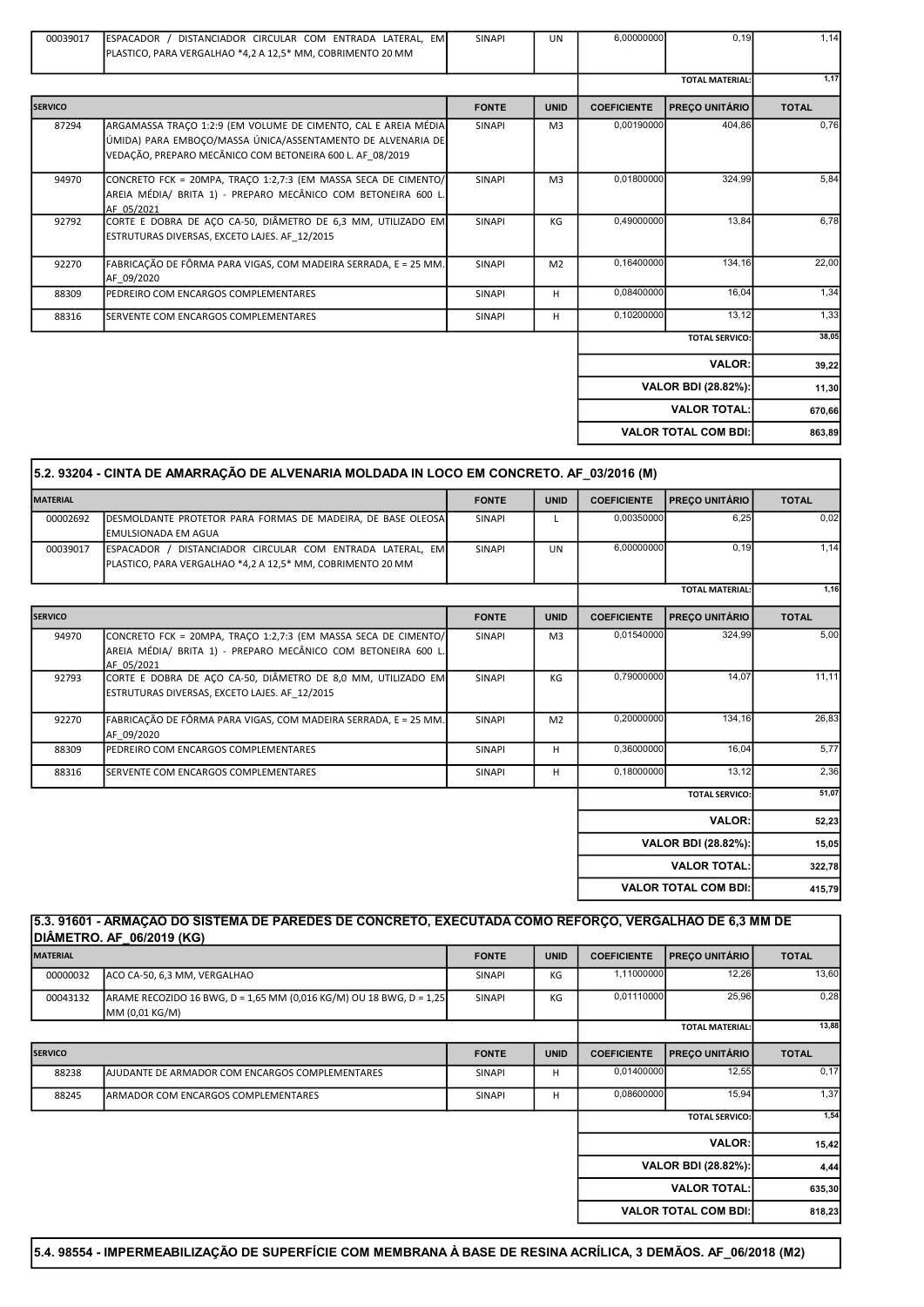| 00039017       | ESPACADOR / DISTANCIADOR CIRCULAR COM ENTRADA LATERAL. EM<br>PLASTICO, PARA VERGALHAO *4,2 A 12,5* MM, COBRIMENTO 20 MM                                                                    | <b>SINAPI</b> | <b>UN</b>      | 6,00000000         | 0, 19                       | 1,14         |
|----------------|--------------------------------------------------------------------------------------------------------------------------------------------------------------------------------------------|---------------|----------------|--------------------|-----------------------------|--------------|
|                |                                                                                                                                                                                            |               |                |                    | <b>TOTAL MATERIAL:</b>      | 1,17         |
| <b>SERVICO</b> |                                                                                                                                                                                            | <b>FONTE</b>  | <b>UNID</b>    | <b>COEFICIENTE</b> | PREÇO UNITÁRIO              | <b>TOTAL</b> |
| 87294          | ARGAMASSA TRACO 1:2:9 (EM VOLUME DE CIMENTO, CAL E AREIA MÉDIA<br>ÚMIDA) PARA EMBOCO/MASSA ÚNICA/ASSENTAMENTO DE ALVENARIA DE<br>VEDAÇÃO, PREPARO MECÂNICO COM BETONEIRA 600 L. AF_08/2019 | SINAPI        | M3             | 0,00190000         | 404.86                      | 0,76         |
| 94970          | CONCRETO FCK = 20MPA, TRACO 1:2,7:3 (EM MASSA SECA DE CIMENTO/<br>AREIA MÉDIA/ BRITA 1) - PREPARO MECÂNICO COM BETONEIRA 600 L<br>AF 05/2021                                               | <b>SINAPI</b> | M <sub>3</sub> | 0,01800000         | 324.99                      | 5,84         |
| 92792          | CORTE E DOBRA DE AÇO CA-50, DIÂMETRO DE 6,3 MM, UTILIZADO EM<br>ESTRUTURAS DIVERSAS, EXCETO LAJES. AF 12/2015                                                                              | <b>SINAPI</b> | KG             | 0,49000000         | 13,84                       | 6,78         |
| 92270          | FABRICAÇÃO DE FÔRMA PARA VIGAS, COM MADEIRA SERRADA, E = 25 MM.<br>AF 09/2020                                                                                                              | <b>SINAPI</b> | M <sub>2</sub> | 0,16400000         | 134,16                      | 22,00        |
| 88309          | PEDREIRO COM ENCARGOS COMPLEMENTARES                                                                                                                                                       | <b>SINAPI</b> | H              | 0,08400000         | 16,04                       | 1,34         |
| 88316          | SERVENTE COM ENCARGOS COMPLEMENTARES                                                                                                                                                       | <b>SINAPI</b> | H              | 0,10200000         | 13,12                       | 1,33         |
|                |                                                                                                                                                                                            |               |                |                    | <b>TOTAL SERVICO:</b>       | 38,05        |
|                |                                                                                                                                                                                            |               |                |                    | <b>VALOR:</b>               | 39,22        |
|                |                                                                                                                                                                                            |               |                |                    | <b>VALOR BDI (28.82%):</b>  | 11,30        |
|                |                                                                                                                                                                                            |               |                |                    | <b>VALOR TOTAL:</b>         | 670,66       |
|                |                                                                                                                                                                                            |               |                |                    | <b>VALOR TOTAL COM BDI:</b> | 863,89       |

I

| <b>MATERIAL</b> |                                                                                                                                               | <b>FONTE</b> | <b>UNID</b>    | <b>COEFICIENTE</b> | <b>PRECO UNITÁRIO</b>       | <b>TOTAL</b> |
|-----------------|-----------------------------------------------------------------------------------------------------------------------------------------------|--------------|----------------|--------------------|-----------------------------|--------------|
| 00002692        | DESMOLDANTE PROTETOR PARA FORMAS DE MADEIRA, DE BASE OLEOSA<br><b>EMULSIONADA EM AGUA</b>                                                     | SINAPI       |                | 0,00350000         | 6,25                        | 0,02         |
| 00039017        | ESPACADOR / DISTANCIADOR CIRCULAR COM ENTRADA LATERAL, EM<br>PLASTICO, PARA VERGALHAO *4,2 A 12,5 * MM, COBRIMENTO 20 MM                      | SINAPI       | <b>UN</b>      | 6,00000000         | 0,19                        | 1,14         |
|                 |                                                                                                                                               |              |                |                    | <b>TOTAL MATERIAL:</b>      | 1,16         |
| <b>SERVICO</b>  |                                                                                                                                               | <b>FONTE</b> | <b>UNID</b>    | <b>COEFICIENTE</b> | <b>PRECO UNITÁRIO</b>       | <b>TOTAL</b> |
| 94970           | CONCRETO FCK = 20MPA, TRACO 1:2,7:3 (EM MASSA SECA DE CIMENTO/<br>AREIA MÉDIA/ BRITA 1) - PREPARO MECÂNICO COM BETONEIRA 600 L.<br>AF 05/2021 | SINAPI       | M <sub>3</sub> | 0,01540000         | 324.99                      | 5,00         |
| 92793           | CORTE E DOBRA DE AÇO CA-50, DIÂMETRO DE 8,0 MM, UTILIZADO EM<br>ESTRUTURAS DIVERSAS, EXCETO LAJES. AF 12/2015                                 | SINAPI       | KG             | 0,79000000         | 14,07                       | 11,11        |
| 92270           | FABRICAÇÃO DE FÔRMA PARA VIGAS, COM MADEIRA SERRADA, E = 25 MM.<br>AF 09/2020                                                                 | SINAPI       | M <sub>2</sub> | 0,20000000         | 134,16                      | 26,83        |
| 88309           | PEDREIRO COM ENCARGOS COMPLEMENTARES                                                                                                          | SINAPI       | н              | 0,36000000         | 16,04                       | 5,77         |
| 88316           | SERVENTE COM ENCARGOS COMPLEMENTARES                                                                                                          | SINAPI       | н              | 0,18000000         | 13,12                       | 2,36         |
|                 |                                                                                                                                               |              |                |                    | <b>TOTAL SERVICO:</b>       | 51,07        |
|                 |                                                                                                                                               |              |                |                    | <b>VALOR:</b>               | 52,23        |
|                 |                                                                                                                                               |              |                |                    | <b>VALOR BDI (28.82%):</b>  | 15,05        |
|                 |                                                                                                                                               |              |                |                    | <b>VALOR TOTAL:</b>         | 322,78       |
|                 |                                                                                                                                               |              |                |                    | <b>VALOR TOTAL COM BDI:</b> | 415,79       |

## 5.3. 91601 - ARMAÇÃO DO SISTEMA DE PAREDES DE CONCRETO, EXECUTADA COMO REFORÇO, VERGALHÃO DE 6,3 MM DE DIÂMETRO. AF\_06/2019 (KG)

| <b>MATERIAL</b> |                                                                                       | <b>FONTE</b>  | <b>UNID</b> | <b>COEFICIENTE</b>     | <b>PREÇO UNITÁRIO</b>       | <b>TOTAL</b> |
|-----------------|---------------------------------------------------------------------------------------|---------------|-------------|------------------------|-----------------------------|--------------|
| 00000032        | ACO CA-50, 6,3 MM, VERGALHAO                                                          | <b>SINAPI</b> | КG          | 1,11000000             | 12,26                       | 13,60        |
| 00043132        | ARAME RECOZIDO 16 BWG, D = 1,65 MM (0,016 KG/M) OU 18 BWG, D = 1,25<br>MM (0,01 KG/M) | <b>SINAPI</b> | KG          | 0,01110000             | 25,96                       | 0,28         |
|                 |                                                                                       |               |             | <b>TOTAL MATERIAL:</b> |                             | 13,88        |
| <b>SERVICO</b>  |                                                                                       | <b>FONTE</b>  | <b>UNID</b> | <b>COEFICIENTE</b>     | <b>PREÇO UNITÁRIO</b>       | <b>TOTAL</b> |
| 88238           | <b>JAJUDANTE DE ARMADOR COM ENCARGOS COMPLEMENTARES</b>                               | <b>SINAPI</b> | H           | 0,01400000             | 12,55                       | 0,17         |
| 88245           | <b>ARMADOR COM ENCARGOS COMPLEMENTARES</b>                                            | <b>SINAPI</b> | H           | 0,08600000             | 15,94                       | 1,37         |
|                 |                                                                                       |               |             |                        | <b>TOTAL SERVICO:</b>       | 1,54         |
|                 |                                                                                       |               |             |                        | <b>VALOR:</b>               | 15,42        |
|                 |                                                                                       |               |             | VALOR BDI (28.82%):    |                             | 4,44         |
|                 |                                                                                       |               |             |                        | <b>VALOR TOTAL:</b>         | 635,30       |
|                 |                                                                                       |               |             |                        | <b>VALOR TOTAL COM BDI:</b> | 818,23       |

5.4. 98554 - IMPERMEABILIZAÇÃO DE SUPERFÍCIE COM MEMBRANA À BASE DE RESINA ACRÍLICA, 3 DEMÃOS. AF\_06/2018 (M2)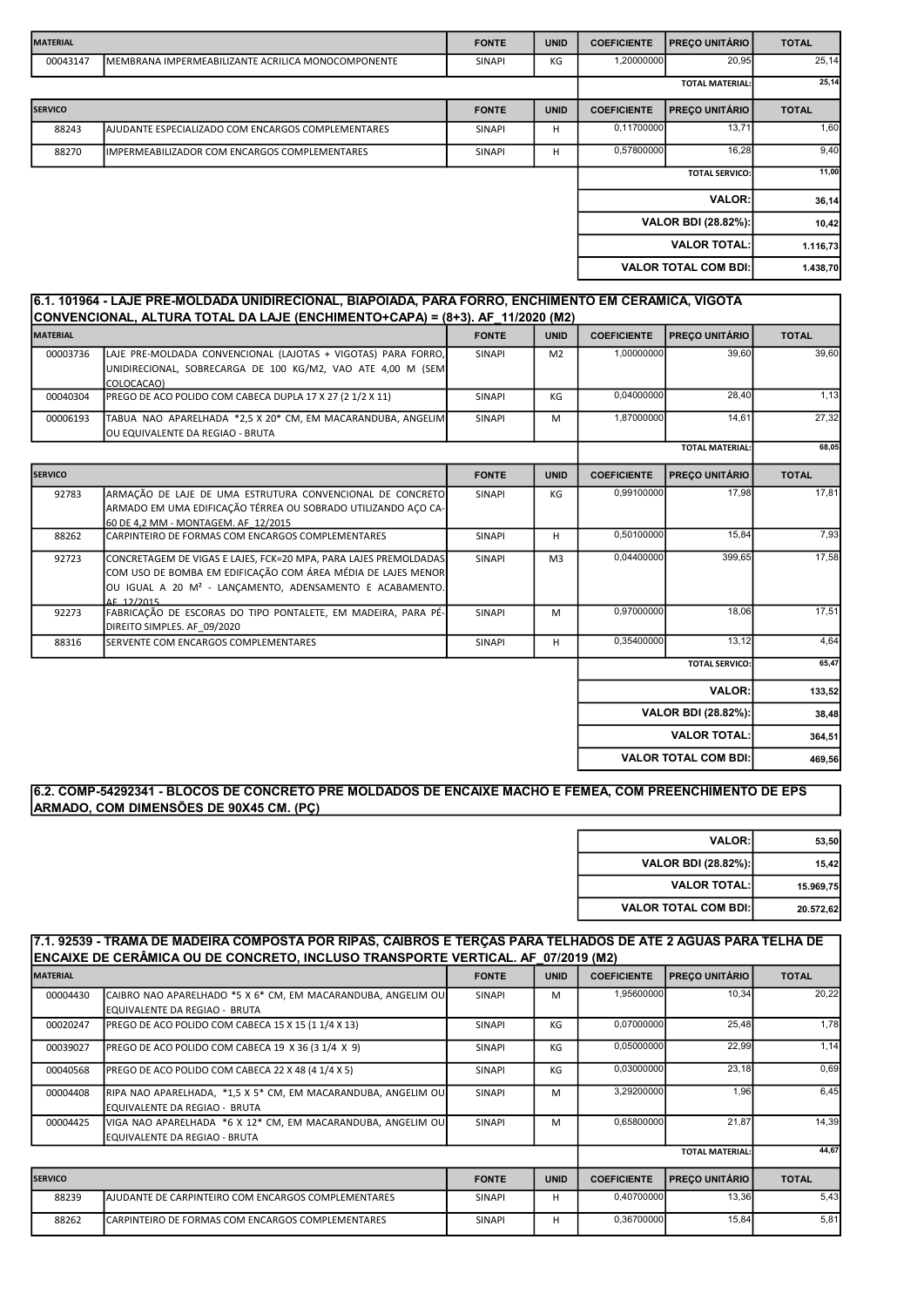| <b>MATERIAL</b> |                                                     | <b>FONTE</b>  | <b>UNID</b> | <b>COEFICIENTE</b>                          | <b>PRECO UNITÁRIO</b>       | <b>TOTAL</b> |
|-----------------|-----------------------------------------------------|---------------|-------------|---------------------------------------------|-----------------------------|--------------|
| 00043147        | IMEMBRANA IMPERMEABILIZANTE ACRILICA MONOCOMPONENTE | <b>SINAPI</b> | КG          | 1,20000000                                  | 20,95                       | 25,14        |
|                 |                                                     |               |             |                                             | <b>TOTAL MATERIAL:</b>      | 25,14        |
| <b>SERVICO</b>  |                                                     | <b>FONTE</b>  | <b>UNID</b> | <b>PRECO UNITÁRIO</b><br><b>COEFICIENTE</b> |                             | <b>TOTAL</b> |
| 88243           | IAJUDANTE ESPECIALIZADO COM ENCARGOS COMPLEMENTARES | <b>SINAPI</b> | H           | 0,11700000                                  | 13,71                       | 1,60         |
| 88270           | IIMPERMEABILIZADOR COM ENCARGOS COMPLEMENTARES      | <b>SINAPI</b> | н           | 0,57800000                                  | 16,28                       | 9,40         |
|                 |                                                     |               |             |                                             | <b>TOTAL SERVICO:</b>       | 11,00        |
|                 |                                                     |               |             |                                             | <b>VALOR:</b>               | 36,14        |
|                 |                                                     |               |             |                                             | VALOR BDI (28.82%):         | 10,42        |
|                 |                                                     |               |             |                                             | <b>VALOR TOTAL:</b>         | 1.116,73     |
|                 |                                                     |               |             |                                             | <b>VALOR TOTAL COM BDI:</b> | 1.438,70     |

#### 6.1. 101964 - LAJE PRÉ-MOLDADA UNIDIRECIONAL, BIAPOIADA, PARA FORRO, ENCHIMENTO EM CERÂMICA, VIGOTA CONVENCIONAL, ALTURA TOTAL DA LA JE (ENCHIMENTO+CAPA) =  $(8+3)$ . AF\_11/2020 (M2)

| <b>MATERIAL</b> |                                                                                                                                                                                                                        | <b>FONTE</b>  | <b>UNID</b>    | <b>COEFICIENTE</b>     | PREÇO UNITÁRIO              | <b>TOTAL</b> |
|-----------------|------------------------------------------------------------------------------------------------------------------------------------------------------------------------------------------------------------------------|---------------|----------------|------------------------|-----------------------------|--------------|
| 00003736        | LAJE PRE-MOLDADA CONVENCIONAL (LAJOTAS + VIGOTAS) PARA FORRO,<br>UNIDIRECIONAL, SOBRECARGA DE 100 KG/M2, VAO ATE 4,00 M (SEM<br>COLOCACAO)                                                                             | SINAPI        | M <sub>2</sub> | 1,00000000             | 39,60                       | 39,60        |
| 00040304        | PREGO DE ACO POLIDO COM CABECA DUPLA 17 X 27 (2 1/2 X 11)                                                                                                                                                              | SINAPI        | KG             | 0,04000000             | 28,40                       | 1,13         |
| 00006193        | TABUA NAO APARELHADA *2,5 X 20* CM, EM MACARANDUBA, ANGELIM<br>OU EQUIVALENTE DA REGIAO - BRUTA                                                                                                                        | SINAPI        | M              | 1,87000000             | 14,61                       | 27,32        |
|                 |                                                                                                                                                                                                                        |               |                | <b>TOTAL MATERIAL:</b> |                             | 68,05        |
| <b>SERVICO</b>  |                                                                                                                                                                                                                        | <b>FONTE</b>  | <b>UNID</b>    | <b>COEFICIENTE</b>     | PREÇO UNITÁRIO              | <b>TOTAL</b> |
| 92783           | ARMAÇÃO DE LAJE DE UMA ESTRUTURA CONVENCIONAL DE CONCRETO<br>ARMADO EM UMA EDIFICAÇÃO TÉRREA OU SOBRADO UTILIZANDO AÇO CA-<br>60 DE 4.2 MM - MONTAGEM. AF 12/2015                                                      | SINAPI        | КG             | 0,99100000             | 17,98                       | 17,81        |
| 88262           | CARPINTEIRO DE FORMAS COM ENCARGOS COMPLEMENTARES                                                                                                                                                                      | <b>SINAPI</b> | H              | 0,50100000             | 15,84                       | 7,93         |
| 92723           | CONCRETAGEM DE VIGAS E LAJES, FCK=20 MPA, PARA LAJES PREMOLDADAS<br>COM USO DE BOMBA EM EDIFICAÇÃO COM ÁREA MÉDIA DE LAJES MENOR<br>OU IGUAL A 20 M <sup>2</sup> - LANÇAMENTO, ADENSAMENTO E ACABAMENTO.<br>AF 12/2015 | SINAPI        | M <sub>3</sub> | 0,04400000             | 399,65                      | 17,58        |
| 92273           | FABRICAÇÃO DE ESCORAS DO TIPO PONTALETE, EM MADEIRA, PARA PÉ-<br>DIREITO SIMPLES. AF 09/2020                                                                                                                           | SINAPI        | M              | 0,97000000             | 18,06                       | 17,51        |
| 88316           | SERVENTE COM ENCARGOS COMPLEMENTARES                                                                                                                                                                                   | SINAPI        | H.             | 0,35400000             | 13,12                       | 4,64         |
|                 |                                                                                                                                                                                                                        |               |                |                        | <b>TOTAL SERVICO:</b>       | 65,47        |
|                 |                                                                                                                                                                                                                        |               |                |                        | <b>VALOR:</b>               | 133,52       |
|                 |                                                                                                                                                                                                                        |               |                |                        | VALOR BDI (28.82%):         | 38,48        |
|                 |                                                                                                                                                                                                                        |               |                |                        | <b>VALOR TOTAL:</b>         | 364,51       |
|                 |                                                                                                                                                                                                                        |               |                |                        | <b>VALOR TOTAL COM BDI:</b> | 469,56       |

# 6.2. COMP-54292341 - BLOCOS DE CONCRETO PRÉ MOLDADOS DE ENCAIXE MACHO E FÊMEA, COM PREENCHIMENTO DE EPS ARMADO, COM DIMENSÕES DE 90X45 CM. (PÇ)

| 53,50     | <b>VALOR:</b>               |
|-----------|-----------------------------|
| 15,42     | VALOR BDI (28.82%):         |
| 15.969,75 | <b>VALOR TOTAL:</b>         |
| 20.572,62 | <b>VALOR TOTAL COM BDI:</b> |

## 7.1. 92539 - TRAMA DE MADEIRA COMPOSTA POR RIPAS, CAIBROS E TERÇAS PARA TELHADOS DE ATÉ 2 ÁGUAS PARA TELHA DE ENCAIXE DE CERÂMICA OU DE CONCRETO, INCLUSO TRANSPORTE VERTICAL. AF\_07/2019 (M2)

|                 | LIVANC DE CERAMICA QU'DE CONCRETO, INCEDIO TRANCFORTE VERTICAE. AL 19772013 (MIZ)                    |               |             |                    |                        |              |
|-----------------|------------------------------------------------------------------------------------------------------|---------------|-------------|--------------------|------------------------|--------------|
| <b>MATERIAL</b> |                                                                                                      | <b>FONTE</b>  | <b>UNID</b> | <b>COEFICIENTE</b> | <b>PRECO UNITÁRIO</b>  | <b>TOTAL</b> |
| 00004430        | CAIBRO NAO APARELHADO *5 X 6* CM, EM MACARANDUBA, ANGELIM OU<br>EQUIVALENTE DA REGIAO - BRUTA        | <b>SINAPI</b> | м           | 1,95600000         | 10,34                  | 20,22        |
| 00020247        | PREGO DE ACO POLIDO COM CABECA 15 X 15 (1 1/4 X 13)                                                  | <b>SINAPI</b> | КG          | 0,07000000         | 25,48                  | 1,78         |
| 00039027        | PREGO DE ACO POLIDO COM CABECA 19 X 36 (3 1/4 X 9)                                                   | <b>SINAPI</b> | КG          | 0,05000000         | 22,99                  | 1,14         |
| 00040568        | PREGO DE ACO POLIDO COM CABECA 22 X 48 (4 1/4 X 5)                                                   | <b>SINAPI</b> | КG          | 0,03000000         | 23,18                  | 0,69         |
| 00004408        | RIPA NAO APARELHADA, *1,5 X 5* CM, EM MACARANDUBA, ANGELIM OU<br>EQUIVALENTE DA REGIAO - BRUTA       | <b>SINAPI</b> | M           | 3,29200000         | 1,96                   | 6,45         |
| 00004425        | VIGA NAO APARELHADA *6 X 12* CM, EM MACARANDUBA, ANGELIM OU<br><b>IEQUIVALENTE DA REGIAO - BRUTA</b> | <b>SINAPI</b> | M           | 0,65800000         | 21.87                  | 14,39        |
|                 |                                                                                                      |               |             |                    | <b>TOTAL MATERIAL:</b> | 44,67        |
| <b>SERVICO</b>  |                                                                                                      | <b>FONTE</b>  | <b>UNID</b> | <b>COEFICIENTE</b> | <b>PRECO UNITÁRIO</b>  | <b>TOTAL</b> |
| 88239           | AJUDANTE DE CARPINTEIRO COM ENCARGOS COMPLEMENTARES                                                  | SINAPI        | н           | 0,40700000         | 13,36                  | 5,43         |
| 88262           | ICARPINTEIRO DE FORMAS COM ENCARGOS COMPLEMENTARES                                                   | <b>SINAPI</b> | н           | 0.36700000         | 15,84                  | 5,81         |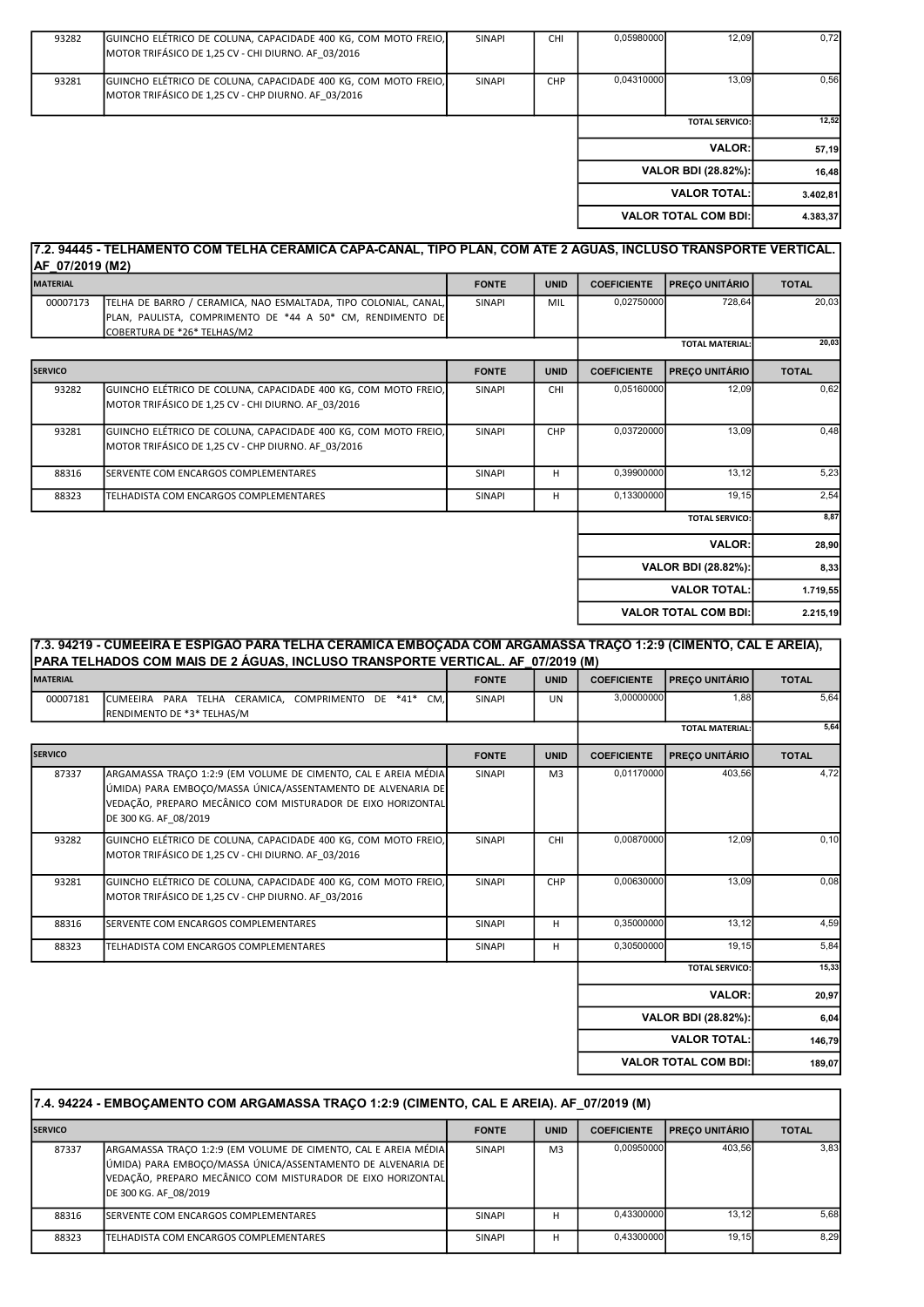| 93282 | GUINCHO ELÉTRICO DE COLUNA, CAPACIDADE 400 KG, COM MOTO FREIO, | <b>SINAPI</b> | <b>CHI</b> | 0,05980000 | 12,09                       | 0,72     |
|-------|----------------------------------------------------------------|---------------|------------|------------|-----------------------------|----------|
|       | MOTOR TRIFÁSICO DE 1,25 CV - CHI DIURNO. AF 03/2016            |               |            |            |                             |          |
| 93281 | GUINCHO ELÉTRICO DE COLUNA, CAPACIDADE 400 KG, COM MOTO FREIO, | <b>SINAPI</b> | <b>CHP</b> | 0,04310000 | 13,09                       | 0,56     |
|       | MOTOR TRIFÁSICO DE 1,25 CV - CHP DIURNO. AF 03/2016            |               |            |            |                             |          |
|       |                                                                |               |            |            |                             |          |
|       |                                                                |               |            |            | <b>TOTAL SERVICO:</b>       | 12,52    |
|       |                                                                |               |            |            | VALOR:                      | 57,19    |
|       |                                                                |               |            |            | VALOR BDI (28.82%):         | 16,48    |
|       |                                                                |               |            |            | <b>VALOR TOTAL:</b>         | 3.402,81 |
|       |                                                                |               |            |            | <b>VALOR TOTAL COM BDI:</b> | 4.383,37 |
|       |                                                                |               |            |            |                             |          |

# 7.2. 94445 - TELHAMENTO COM TELHA CERÂMICA CAPA-CANAL, TIPO PLAN, COM ATÉ 2 ÁGUAS, INCLUSO TRANSPORTE VERTICAL.  $AF_07/2019 (M2)$

| <b>MATERIAL</b> |                                                                                                                                                              | <b>FONTE</b>  | <b>UNID</b> | <b>COEFICIENTE</b> | <b>PRECO UNITÁRIO</b>       | <b>TOTAL</b> |
|-----------------|--------------------------------------------------------------------------------------------------------------------------------------------------------------|---------------|-------------|--------------------|-----------------------------|--------------|
| 00007173        | TELHA DE BARRO / CERAMICA, NAO ESMALTADA, TIPO COLONIAL, CANAL,<br>PLAN, PAULISTA, COMPRIMENTO DE *44 A 50* CM, RENDIMENTO DE<br>COBERTURA DE *26* TELHAS/M2 | <b>SINAPI</b> | MIL         | 0,02750000         | 728.64                      | 20,03        |
|                 |                                                                                                                                                              |               |             |                    | <b>TOTAL MATERIAL:</b>      | 20,03        |
| <b>SERVICO</b>  |                                                                                                                                                              | <b>FONTE</b>  | <b>UNID</b> | <b>COEFICIENTE</b> | <b>PREÇO UNITÁRIO</b>       | <b>TOTAL</b> |
| 93282           | GUINCHO ELÉTRICO DE COLUNA, CAPACIDADE 400 KG, COM MOTO FREIO,<br>MOTOR TRIFÁSICO DE 1,25 CV - CHI DIURNO. AF 03/2016                                        | <b>SINAPI</b> | <b>CHI</b>  | 0,05160000         | 12,09                       | 0,62         |
| 93281           | GUINCHO ELÉTRICO DE COLUNA, CAPACIDADE 400 KG, COM MOTO FREIO,<br>MOTOR TRIFÁSICO DE 1,25 CV - CHP DIURNO. AF_03/2016                                        | SINAPI        | CHP         | 0,03720000         | 13,09                       | 0,48         |
| 88316           | SERVENTE COM ENCARGOS COMPLEMENTARES                                                                                                                         | <b>SINAPI</b> | н           | 0,39900000         | 13,12                       | 5,23         |
| 88323           | TELHADISTA COM ENCARGOS COMPLEMENTARES                                                                                                                       | <b>SINAPI</b> | H           | 0,13300000         | 19,15                       | 2,54         |
|                 |                                                                                                                                                              |               |             |                    | <b>TOTAL SERVICO:</b>       | 8,87         |
|                 |                                                                                                                                                              |               |             |                    | <b>VALOR:</b>               | 28,90        |
|                 |                                                                                                                                                              |               |             |                    | VALOR BDI (28.82%):         | 8,33         |
|                 |                                                                                                                                                              |               |             |                    | <b>VALOR TOTAL:</b>         | 1.719,55     |
|                 |                                                                                                                                                              |               |             |                    | <b>VALOR TOTAL COM BDI:</b> | 2.215,19     |

|                 | PARA TELHADOS COM MAIS DE 2 ÁGUAS, INCLUSO TRANSPORTE VERTICAL. AF  07/2019 (M)                                                                                                                                       |               |                |                    |                        |              |
|-----------------|-----------------------------------------------------------------------------------------------------------------------------------------------------------------------------------------------------------------------|---------------|----------------|--------------------|------------------------|--------------|
| <b>MATERIAL</b> |                                                                                                                                                                                                                       | <b>FONTE</b>  | <b>UNID</b>    | <b>COEFICIENTE</b> | <b>PRECO UNITÁRIO</b>  | <b>TOTAL</b> |
| 00007181        | CUMEEIRA PARA TELHA CERAMICA, COMPRIMENTO DE *41* CM,<br>RENDIMENTO DE *3* TELHAS/M                                                                                                                                   | <b>SINAPI</b> | <b>UN</b>      | 3,00000000         | 1.88                   | 5,64         |
|                 |                                                                                                                                                                                                                       |               |                |                    | <b>TOTAL MATERIAL:</b> | 5,64         |
| <b>SERVICO</b>  |                                                                                                                                                                                                                       | <b>FONTE</b>  | <b>UNID</b>    | <b>COEFICIENTE</b> | <b>PREÇO UNITÁRIO</b>  | <b>TOTAL</b> |
| 87337           | ARGAMASSA TRAÇO 1:2:9 (EM VOLUME DE CIMENTO, CAL E AREIA MÉDIA<br>ÚMIDA) PARA EMBOCO/MASSA ÚNICA/ASSENTAMENTO DE ALVENARIA DE<br>VEDAÇÃO, PREPARO MECÂNICO COM MISTURADOR DE EIXO HORIZONTAL<br>DE 300 KG. AF 08/2019 | SINAPI        | M <sub>3</sub> | 0.01170000         | 403.56                 | 4,72         |
| 93282           | GUINCHO ELÉTRICO DE COLUNA, CAPACIDADE 400 KG, COM MOTO FREIO,<br>MOTOR TRIFÁSICO DE 1,25 CV - CHI DIURNO. AF 03/2016                                                                                                 | <b>SINAPI</b> | CHI            | 0,00870000         | 12,09                  | 0, 10        |
| 93281           | GUINCHO ELÉTRICO DE COLUNA, CAPACIDADE 400 KG, COM MOTO FREIO,<br>MOTOR TRIFÁSICO DE 1,25 CV - CHP DIURNO. AF 03/2016                                                                                                 | SINAPI        | CHP            | 0,00630000         | 13,09                  | 0.08         |
| 88316           | SERVENTE COM ENCARGOS COMPLEMENTARES                                                                                                                                                                                  | <b>SINAPI</b> | H              | 0.35000000         | 13.12                  | 4,59         |
| 88323           | TELHADISTA COM ENCARGOS COMPLEMENTARES                                                                                                                                                                                | <b>SINAPI</b> | H              | 0,30500000         | 19,15                  | 5,84         |
|                 |                                                                                                                                                                                                                       |               |                |                    | <b>TOTAL SERVICO:</b>  | 15,33        |
|                 |                                                                                                                                                                                                                       |               |                |                    | <b>VALOR:</b>          | 20,97        |
|                 |                                                                                                                                                                                                                       |               |                |                    | VALOR BDI (28.82%):    | 6,04         |
|                 |                                                                                                                                                                                                                       |               |                |                    | <b>VALOR TOTAL:</b>    | 146,79       |

|                | 7.4. 94224 - EMBOÇAMENTO COM ARGAMASSA TRAÇO 1:2:9 (CIMENTO, CAL E AREIA). AF 07/2019 (M)                                                                                                                              |               |                |                    |                    |              |  |
|----------------|------------------------------------------------------------------------------------------------------------------------------------------------------------------------------------------------------------------------|---------------|----------------|--------------------|--------------------|--------------|--|
| <b>SERVICO</b> |                                                                                                                                                                                                                        | <b>FONTE</b>  | <b>UNID</b>    | <b>COEFICIENTE</b> | I PRECO UNITÁRIO I | <b>TOTAL</b> |  |
| 87337          | ARGAMASSA TRAÇO 1:2:9 (EM VOLUME DE CIMENTO, CAL E AREIA MÉDIA)<br>ÚMIDA) PARA EMBOCO/MASSA ÚNICA/ASSENTAMENTO DE ALVENARIA DE<br>VEDAÇÃO, PREPARO MECÂNICO COM MISTURADOR DE EIXO HORIZONTAL<br>DE 300 KG. AF 08/2019 | <b>SINAPI</b> | M <sub>3</sub> | 0.00950000         | 403.56             | 3.83         |  |
| 88316          | ISERVENTE COM ENCARGOS COMPLEMENTARES                                                                                                                                                                                  | <b>SINAPI</b> | н              | 0.43300000         | 13.12              | 5.68         |  |
| 88323          | TELHADISTA COM ENCARGOS COMPLEMENTARES                                                                                                                                                                                 | <b>SINAPI</b> | н              | 0.43300000         | 19.15              | 8,29         |  |

189,07

VALOR TOTAL COM BDI: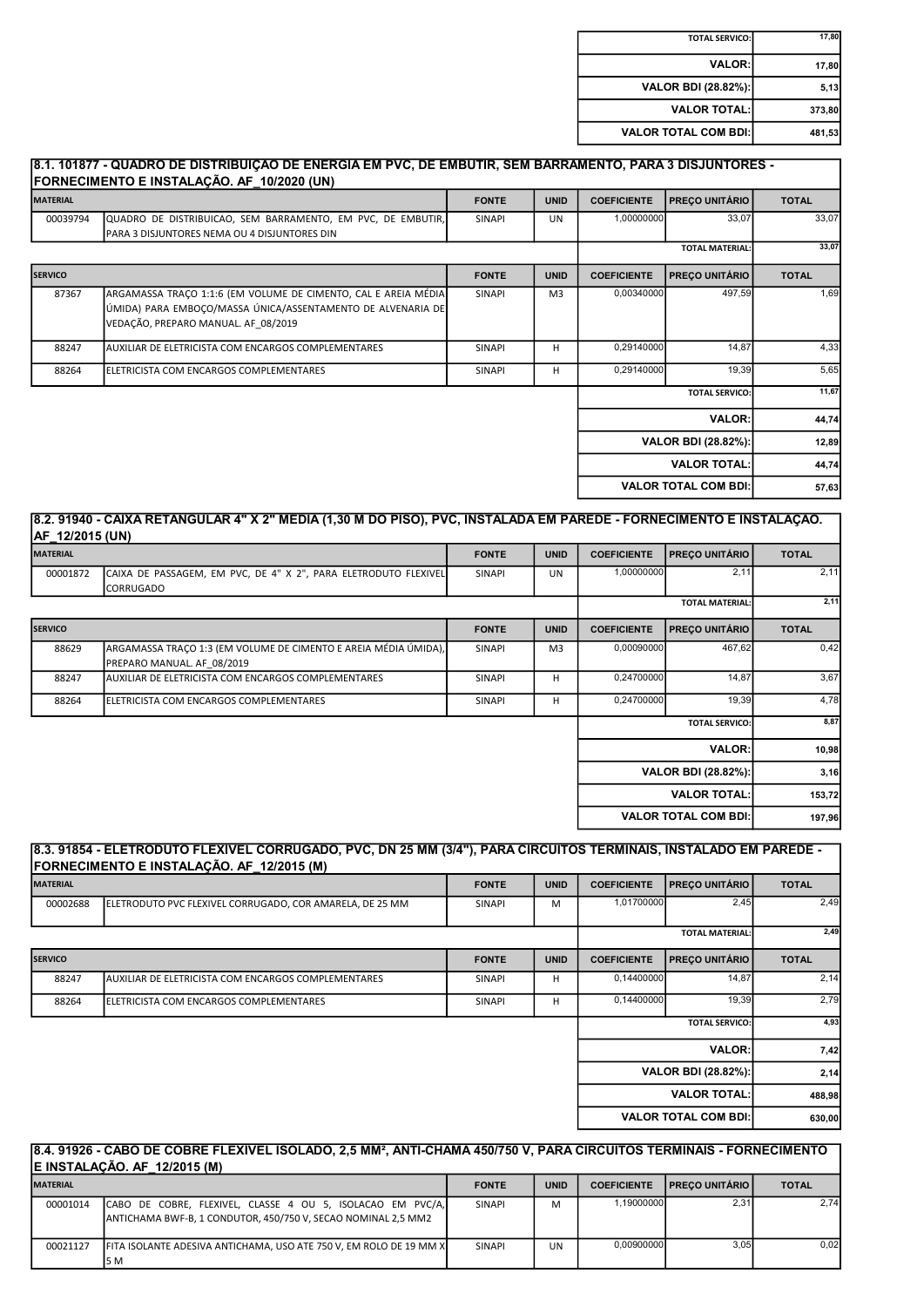| 17,80  | <b>TOTAL SERVICO:</b>       |
|--------|-----------------------------|
| 17,80  | <b>VALOR:</b>               |
| 5,13   | <b>VALOR BDI (28.82%):</b>  |
| 373,80 | <b>VALOR TOTAL:</b>         |
| 481,53 | <b>VALOR TOTAL COM BDI:</b> |

| <b>MATERIAL</b> |                                                                                                                                                                       | <b>FONTE</b>  | <b>UNID</b>    | <b>COEFICIENTE</b> | <b>PRECO UNITÁRIO</b>       | <b>TOTAL</b> |
|-----------------|-----------------------------------------------------------------------------------------------------------------------------------------------------------------------|---------------|----------------|--------------------|-----------------------------|--------------|
| 00039794        | QUADRO DE DISTRIBUICAO, SEM BARRAMENTO, EM PVC, DE EMBUTIR,<br>PARA 3 DISJUNTORES NEMA OU 4 DISJUNTORES DIN                                                           | <b>SINAPI</b> | <b>UN</b>      | 1,00000000         | 33,07                       | 33,07        |
|                 |                                                                                                                                                                       |               |                |                    | <b>TOTAL MATERIAL:</b>      | 33.07        |
| <b>SERVICO</b>  |                                                                                                                                                                       | <b>FONTE</b>  | <b>UNID</b>    | <b>COEFICIENTE</b> | <b>PREÇO UNITÁRIO</b>       | <b>TOTAL</b> |
| 87367           | ARGAMASSA TRACO 1:1:6 (EM VOLUME DE CIMENTO, CAL E AREIA MÉDIA)<br>ÚMIDA) PARA EMBOÇO/MASSA ÚNICA/ASSENTAMENTO DE ALVENARIA DE<br>VEDAÇÃO, PREPARO MANUAL. AF 08/2019 | <b>SINAPI</b> | M <sub>3</sub> | 0,00340000         | 497.59                      | 1,69         |
| 88247           | AUXILIAR DE ELETRICISTA COM ENCARGOS COMPLEMENTARES                                                                                                                   | <b>SINAPI</b> | н              | 0,29140000         | 14.87                       | 4,33         |
| 88264           | <b>IELETRICISTA COM ENCARGOS COMPLEMENTARES</b>                                                                                                                       | <b>SINAPI</b> | H              | 0,29140000         | 19.39                       | 5,65         |
|                 |                                                                                                                                                                       |               |                |                    | <b>TOTAL SERVICO:</b>       | 11,67        |
|                 |                                                                                                                                                                       |               |                |                    | <b>VALOR:</b>               | 44,74        |
|                 |                                                                                                                                                                       |               |                |                    | VALOR BDI (28.82%):         | 12,89        |
|                 |                                                                                                                                                                       |               |                |                    | <b>VALOR TOTAL:</b>         | 44,74        |
|                 |                                                                                                                                                                       |               |                |                    | <b>VALOR TOTAL COM BDI:</b> | 57,63        |

## 8.2. 91940 - CAIXA RETANGULAR 4" X 2" MÉDIA (1,30 M DO PISO), PVC, INSTALADA EM PAREDE - FORNECIMENTO E INSTALAÇÃO. AF 12/2015 (UN)

| <b>MATERIAL</b> |                                                                                               | <b>FONTE</b>  | <b>UNID</b>    | <b>COEFICIENTE</b> | <b>PREÇO UNITÁRIO</b>       | <b>TOTAL</b> |
|-----------------|-----------------------------------------------------------------------------------------------|---------------|----------------|--------------------|-----------------------------|--------------|
| 00001872        | CAIXA DE PASSAGEM, EM PVC, DE 4" X 2", PARA ELETRODUTO FLEXIVEL<br>CORRUGADO                  | SINAPI        | <b>UN</b>      | 1,00000000         | 2,11                        | 2,11         |
|                 |                                                                                               |               |                |                    | <b>TOTAL MATERIAL:</b>      | 2,11         |
| <b>SERVICO</b>  |                                                                                               | <b>FONTE</b>  | <b>UNID</b>    | <b>COEFICIENTE</b> | <b>PREÇO UNITÁRIO</b>       | <b>TOTAL</b> |
| 88629           | ARGAMASSA TRACO 1:3 (EM VOLUME DE CIMENTO E AREIA MÉDIA ÚMIDA),<br>PREPARO MANUAL. AF 08/2019 | <b>SINAPI</b> | M <sub>3</sub> | 0,00090000         | 467,62                      | 0,42         |
| 88247           | AUXILIAR DE ELETRICISTA COM ENCARGOS COMPLEMENTARES                                           | SINAPI        | н              | 0,24700000         | 14,87                       | 3,67         |
| 88264           | ELETRICISTA COM ENCARGOS COMPLEMENTARES                                                       | SINAPI        | н              | 0,24700000         | 19,39                       | 4,78         |
|                 |                                                                                               |               |                |                    | <b>TOTAL SERVICO:</b>       | 8,87         |
|                 |                                                                                               |               |                |                    | <b>VALOR:</b>               | 10,98        |
|                 |                                                                                               |               |                |                    | VALOR BDI (28.82%):         | 3,16         |
|                 |                                                                                               |               |                |                    | <b>VALOR TOTAL:</b>         | 153,72       |
|                 |                                                                                               |               |                |                    | <b>VALOR TOTAL COM BDI:</b> | 197,96       |

|                 | 8.3. 91854 - ELETRODUTO FLEXIVEL CORRUGADO, PVC, DN 25 MM (3/4"), PARA CIRCUITOS TERMINAIS, INSTALADO EM PAREDE -<br>FORNECIMENTO E INSTALAÇÃO. AF 12/2015 (M) |               |             |                    |                             |              |
|-----------------|----------------------------------------------------------------------------------------------------------------------------------------------------------------|---------------|-------------|--------------------|-----------------------------|--------------|
| <b>MATERIAL</b> |                                                                                                                                                                | <b>FONTE</b>  | <b>UNID</b> | <b>COEFICIENTE</b> | <b>PRECO UNITÁRIO</b>       | <b>TOTAL</b> |
| 00002688        | ELETRODUTO PVC FLEXIVEL CORRUGADO, COR AMARELA, DE 25 MM                                                                                                       | SINAPI        | M           | 1,01700000         | 2,45                        | 2,49         |
|                 |                                                                                                                                                                |               |             |                    | <b>TOTAL MATERIAL:</b>      | 2,49         |
| <b>SERVICO</b>  |                                                                                                                                                                | <b>FONTE</b>  | <b>UNID</b> | <b>COEFICIENTE</b> | <b>PRECO UNITÁRIO</b>       | <b>TOTAL</b> |
| 88247           | <b>JAUXILIAR DE ELETRICISTA COM ENCARGOS COMPLEMENTARES</b>                                                                                                    | <b>SINAPI</b> | H           | 0,14400000         | 14,87                       | 2,14         |
| 88264           | <b>IELETRICISTA COM ENCARGOS COMPLEMENTARES</b>                                                                                                                | <b>SINAPI</b> | H           | 0,14400000         | 19,39                       | 2,79         |
|                 |                                                                                                                                                                |               |             |                    | <b>TOTAL SERVICO:</b>       | 4,93         |
|                 |                                                                                                                                                                |               |             |                    | <b>VALOR:</b>               | 7,42         |
|                 |                                                                                                                                                                |               |             |                    | <b>VALOR BDI (28.82%):</b>  | 2,14         |
|                 |                                                                                                                                                                |               |             |                    | <b>VALOR TOTAL:</b>         | 488,98       |
|                 |                                                                                                                                                                |               |             |                    | <b>VALOR TOTAL COM BDI:</b> | 630,00       |
|                 |                                                                                                                                                                |               |             |                    |                             |              |

# 8.4. 91926 - CABO DE COBRE FLEXÍVEL ISOLADO, 2,5 MM², ANTI-CHAMA 450/750 V, PARA CIRCUITOS TERMINAIS - FORNECIMENTO E INSTALAÇÃO. AF\_12/2015 (M)

| <b>MATERIAL</b> |                                                                                                                             | <b>FONTE</b>  | <b>UNID</b> | <b>COEFICIENTE</b> | <b>I PRECO UNITÁRIO</b> | <b>TOTAL</b> |
|-----------------|-----------------------------------------------------------------------------------------------------------------------------|---------------|-------------|--------------------|-------------------------|--------------|
| 00001014        | CABO DE COBRE, FLEXIVEL, CLASSE 4 OU 5, ISOLACAO EM PVC/A,<br>ANTICHAMA BWF-B, 1 CONDUTOR, 450/750 V, SECAO NOMINAL 2,5 MM2 | <b>SINAPI</b> | M           | .19000000          | 2.31                    | 2.74         |
| 00021127        | <b>FITA ISOLANTE ADESIVA ANTICHAMA, USO ATE 750 V, EM ROLO DE 19 MM X</b><br><b>5M</b>                                      | <b>SINAPI</b> | UN          | 0.00900000         | 3.05                    | 0.02         |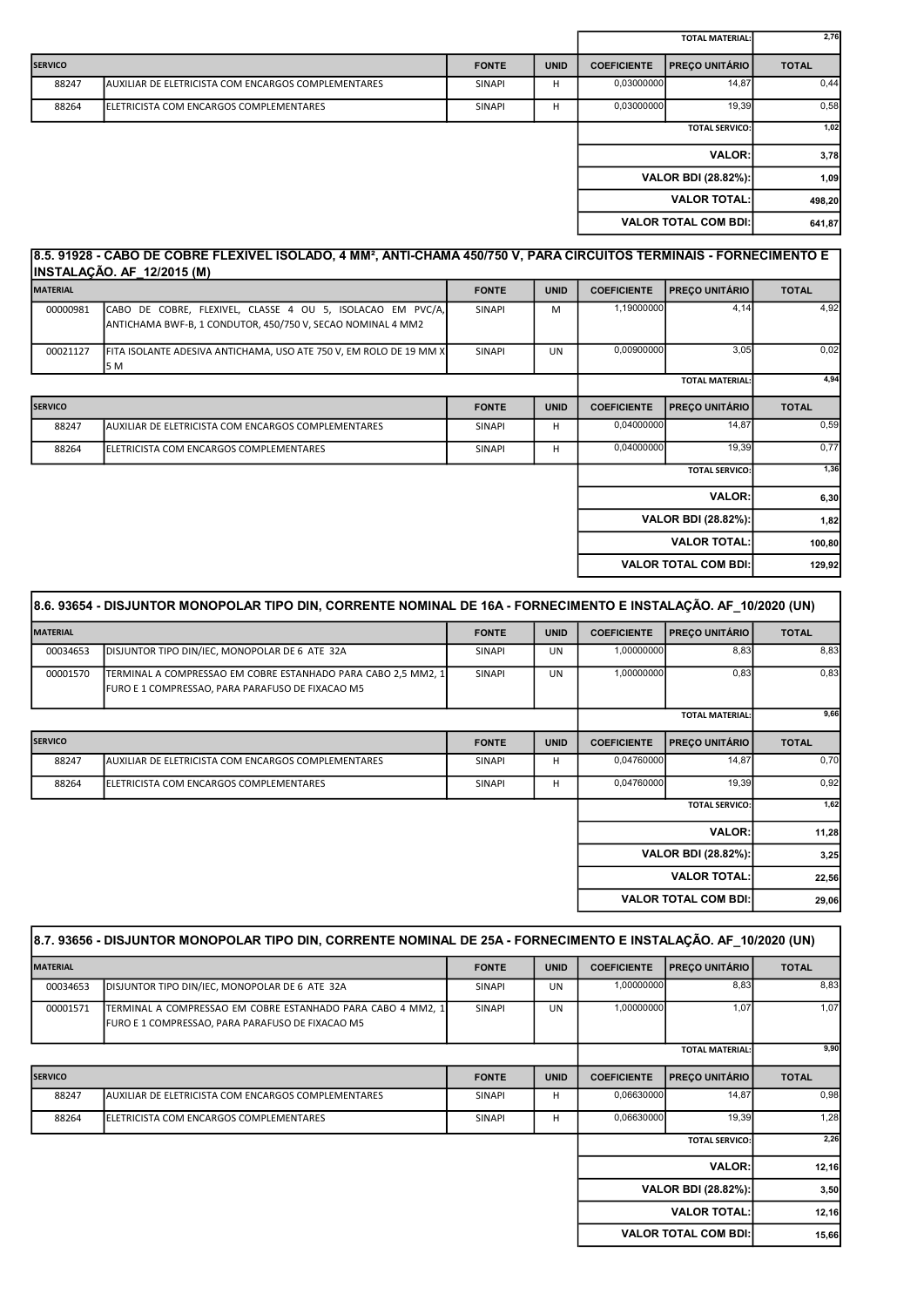|                |                                                     |               |             |                       | <b>TOTAL MATERIAL:</b>      | 2,76         |
|----------------|-----------------------------------------------------|---------------|-------------|-----------------------|-----------------------------|--------------|
| <b>SERVICO</b> |                                                     | <b>FONTE</b>  | <b>UNID</b> | <b>COEFICIENTE</b>    | <b>PRECO UNITÁRIO</b>       | <b>TOTAL</b> |
| 88247          | AUXILIAR DE ELETRICISTA COM ENCARGOS COMPLEMENTARES | <b>SINAPI</b> | н           | 0.03000000            | 14,87                       | 0,44         |
| 88264          | ELETRICISTA COM ENCARGOS COMPLEMENTARES             | <b>SINAPI</b> | н           | 0,03000000            | 19,39                       | 0,58         |
|                |                                                     |               |             | <b>TOTAL SERVICO:</b> |                             | 1,02         |
|                |                                                     |               |             |                       | <b>VALOR:</b>               | 3,78         |
|                |                                                     |               |             |                       | VALOR BDI (28.82%):         | 1,09         |
|                |                                                     |               |             |                       | <b>VALOR TOTAL:</b>         | 498,20       |
|                |                                                     |               |             |                       | <b>VALOR TOTAL COM BDI:</b> | 641,87       |
|                |                                                     |               |             |                       |                             |              |

# 8.5. 91928 - CABO DE COBRE FLEXÍVEL ISOLADO, 4 MM², ANTI-CHAMA 450/750 V, PARA CIRCUITOS TERMINAIS - FORNECIMENTO E INSTALAÇÃO. AF\_12/2015 (M)

| <b>MATERIAL</b> |                                                                                                                           | <b>FONTE</b>  | <b>UNID</b> | <b>COEFICIENTE</b>                          | <b>PREÇO UNITÁRIO</b>        | <b>TOTAL</b> |
|-----------------|---------------------------------------------------------------------------------------------------------------------------|---------------|-------------|---------------------------------------------|------------------------------|--------------|
| 00000981        | CABO DE COBRE, FLEXIVEL, CLASSE 4 OU 5, ISOLACAO EM PVC/A,<br>ANTICHAMA BWF-B, 1 CONDUTOR, 450/750 V, SECAO NOMINAL 4 MM2 | SINAPI        | M           | 1,19000000                                  | 4,14                         | 4,92         |
| 00021127        | FITA ISOLANTE ADESIVA ANTICHAMA, USO ATE 750 V, EM ROLO DE 19 MM X<br>5 M                                                 | <b>SINAPI</b> | UN          | 0,00900000                                  | 3,05                         | 0,02         |
|                 |                                                                                                                           |               |             |                                             | <b>TOTAL MATERIAL:</b>       | 4,94         |
| <b>SERVICO</b>  |                                                                                                                           | <b>FONTE</b>  | <b>UNID</b> | <b>PREÇO UNITÁRIO</b><br><b>COEFICIENTE</b> |                              | <b>TOTAL</b> |
| 88247           | <b>JAUXILIAR DE ELETRICISTA COM ENCARGOS COMPLEMENTARES</b>                                                               | <b>SINAPI</b> | H           | 0,04000000                                  | 14,87                        | 0,59         |
| 88264           | <b>IELETRICISTA COM ENCARGOS COMPLEMENTARES</b>                                                                           | <b>SINAPI</b> | H           | 0,04000000                                  | 19,39                        | 0,77         |
|                 |                                                                                                                           |               |             |                                             | <b>TOTAL SERVICO:</b>        | 1,36         |
|                 |                                                                                                                           |               |             |                                             | <b>VALOR:</b>                | 6,30         |
|                 |                                                                                                                           |               |             |                                             | <b>VALOR BDI (28.82%):</b>   | 1,82         |
|                 |                                                                                                                           |               |             |                                             | <b>VALOR TOTAL:</b>          | 100,80       |
|                 |                                                                                                                           |               |             |                                             | <b>VALOR TOTAL COM BDI:I</b> | 129,92       |

|                 | 8.6. 93654 - DISJUNTOR MONOPOLAR TIPO DIN, CORRENTE NOMINAL DE 16A - FORNECIMENTO E INSTALAÇÃO. AF_10/2020 (UN)   |               |             |                        |                             |              |
|-----------------|-------------------------------------------------------------------------------------------------------------------|---------------|-------------|------------------------|-----------------------------|--------------|
| <b>MATERIAL</b> |                                                                                                                   | <b>FONTE</b>  | <b>UNID</b> | <b>COEFICIENTE</b>     | <b>PREÇO UNITÁRIO</b>       | <b>TOTAL</b> |
| 00034653        | DISJUNTOR TIPO DIN/IEC, MONOPOLAR DE 6 ATE 32A                                                                    | <b>SINAPI</b> | <b>UN</b>   | 1,00000000             | 8,83                        | 8,83         |
| 00001570        | TERMINAL A COMPRESSAO EM COBRE ESTANHADO PARA CABO 2,5 MM2, 1<br>FURO E 1 COMPRESSAO, PARA PARAFUSO DE FIXACAO M5 | <b>SINAPI</b> | <b>UN</b>   | 1,00000000             | 0,83                        | 0,83         |
|                 |                                                                                                                   |               |             | <b>TOTAL MATERIAL:</b> |                             | 9,66         |
| <b>SERVICO</b>  |                                                                                                                   | <b>FONTE</b>  | <b>UNID</b> | <b>COEFICIENTE</b>     | <b>PREÇO UNITÁRIO</b>       | <b>TOTAL</b> |
| 88247           | AUXILIAR DE ELETRICISTA COM ENCARGOS COMPLEMENTARES                                                               | <b>SINAPI</b> | H           | 0,04760000             | 14,87                       | 0,70         |
| 88264           | IELETRICISTA COM ENCARGOS COMPLEMENTARES                                                                          | <b>SINAPI</b> | H           | 0,04760000             | 19,39                       | 0,92         |
|                 |                                                                                                                   |               |             |                        | <b>TOTAL SERVICO:</b>       | 1,62         |
|                 |                                                                                                                   |               |             |                        | <b>VALOR:</b>               | 11,28        |
|                 |                                                                                                                   |               |             |                        | <b>VALOR BDI (28.82%):</b>  | 3,25         |
|                 |                                                                                                                   |               |             |                        | <b>VALOR TOTAL:</b>         | 22,56        |
|                 |                                                                                                                   |               |             |                        | <b>VALOR TOTAL COM BDI:</b> | 29,06        |

|                 | 8.7. 93656 - DISJUNTOR MONOPOLAR TIPO DIN, CORRENTE NOMINAL DE 25A - FORNECIMENTO E INSTALAÇÃO. AF 10/2020 (UN) |               |             |                    |                             |              |
|-----------------|-----------------------------------------------------------------------------------------------------------------|---------------|-------------|--------------------|-----------------------------|--------------|
| <b>MATERIAL</b> |                                                                                                                 | <b>FONTE</b>  | <b>UNID</b> | <b>COEFICIENTE</b> | <b>PREÇO UNITÁRIO</b>       | <b>TOTAL</b> |
| 00034653        | DISJUNTOR TIPO DIN/IEC, MONOPOLAR DE 6 ATE 32A                                                                  | <b>SINAPI</b> | <b>UN</b>   | 1,00000000         | 8,83                        | 8,83         |
| 00001571        | TERMINAL A COMPRESSAO EM COBRE ESTANHADO PARA CABO 4 MM2, 1<br>FURO E 1 COMPRESSAO, PARA PARAFUSO DE FIXACAO M5 | <b>SINAPI</b> | UN          | 1,00000000         | 1,07                        | 1,07         |
|                 |                                                                                                                 |               |             |                    | <b>TOTAL MATERIAL:</b>      | 9,90         |
| <b>SERVICO</b>  |                                                                                                                 | <b>FONTE</b>  | <b>UNID</b> | <b>COEFICIENTE</b> | <b>PREÇO UNITÁRIO</b>       | <b>TOTAL</b> |
| 88247           | AUXILIAR DE ELETRICISTA COM ENCARGOS COMPLEMENTARES                                                             | SINAPI        | H           | 0,06630000         | 14,87                       | 0,98         |
| 88264           | ELETRICISTA COM ENCARGOS COMPLEMENTARES                                                                         | <b>SINAPI</b> | H           | 0,06630000         | 19,39                       | 1,28         |
|                 |                                                                                                                 |               |             |                    | <b>TOTAL SERVICO:</b>       | 2,26         |
|                 |                                                                                                                 |               |             |                    | <b>VALOR:</b>               | 12,16        |
|                 |                                                                                                                 |               |             |                    | VALOR BDI (28.82%):         | 3,50         |
|                 |                                                                                                                 |               |             |                    | <b>VALOR TOTAL:</b>         | 12,16        |
|                 |                                                                                                                 |               |             |                    | <b>VALOR TOTAL COM BDI:</b> | 15,66        |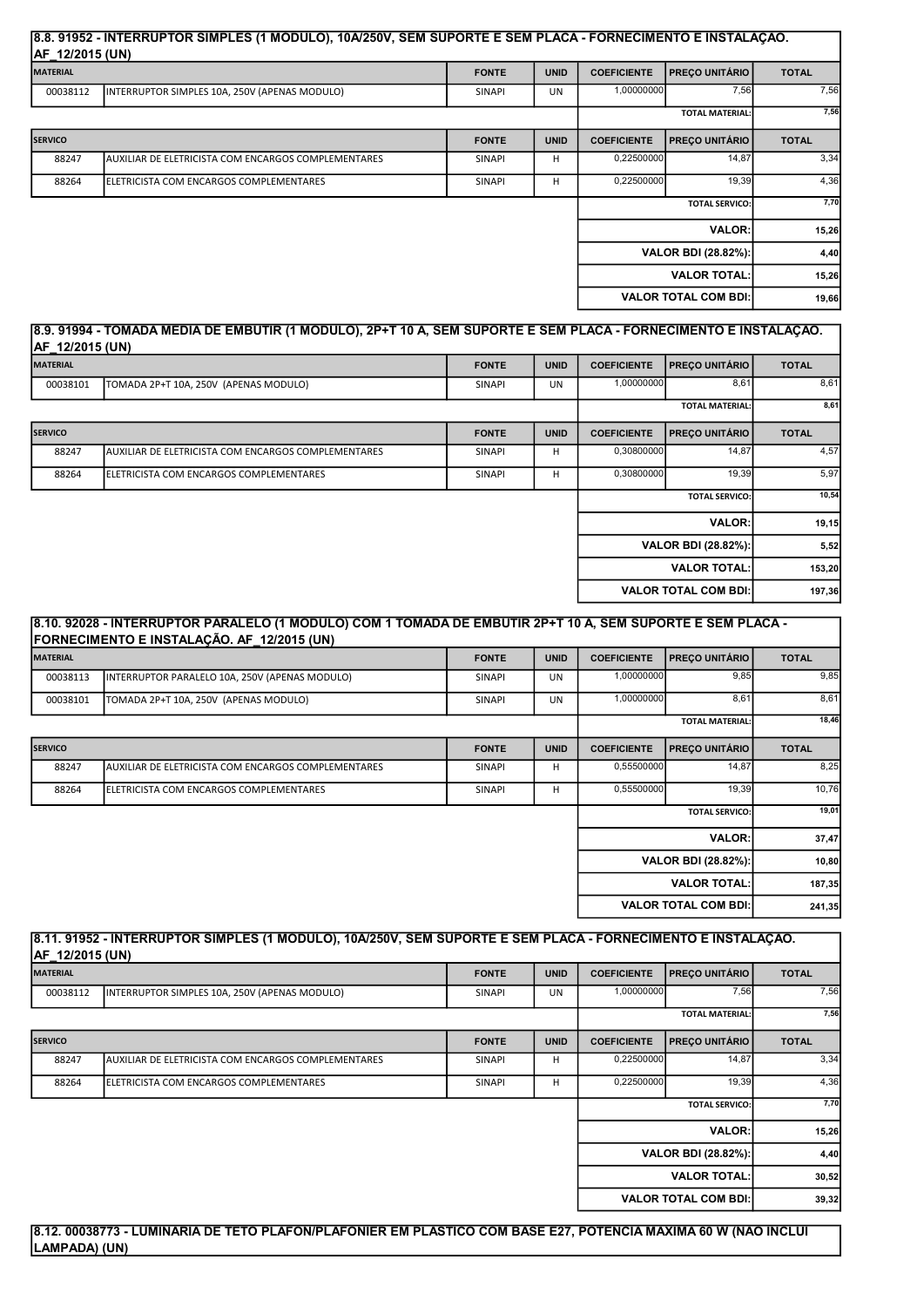#### 8.8. 91952 - INTERRUPTOR SIMPLES (1 MÓDULO), 10A/250V, SEM SUPORTE E SEM PLACA - FORNECIMENTO E INSTALAÇÃO. AF 12/2015 (UN)

| .<br><b>MATERIAL</b> |                                                     | <b>FONTE</b>           | <b>UNID</b> | <b>COEFICIENTE</b> | <b>PRECO UNITÁRIO</b>       | <b>TOTAL</b> |
|----------------------|-----------------------------------------------------|------------------------|-------------|--------------------|-----------------------------|--------------|
| 00038112             | INTERRUPTOR SIMPLES 10A, 250V (APENAS MODULO)       | <b>SINAPI</b>          | UN          | 1,00000000         | 7,56                        | 7,56         |
|                      |                                                     | <b>TOTAL MATERIAL:</b> | 7,56        |                    |                             |              |
| <b>SERVICO</b>       |                                                     | <b>FONTE</b>           | <b>UNID</b> | <b>COEFICIENTE</b> | <b>PRECO UNITÁRIO</b>       | <b>TOTAL</b> |
| 88247                | AUXILIAR DE ELETRICISTA COM ENCARGOS COMPLEMENTARES | <b>SINAPI</b>          | н           | 0,22500000         | 14,87                       | 3,34         |
| 88264                | IELETRICISTA COM ENCARGOS COMPLEMENTARES            | <b>SINAPI</b>          | н           | 0,22500000         | 19,39                       | 4,36         |
|                      |                                                     |                        |             |                    | <b>TOTAL SERVICO:</b>       | 7,70         |
|                      |                                                     |                        |             |                    | <b>VALOR:</b>               | 15,26        |
|                      |                                                     |                        |             |                    | VALOR BDI (28.82%):         | 4,40         |
|                      |                                                     |                        |             |                    | <b>VALOR TOTAL:</b>         | 15,26        |
|                      |                                                     |                        |             |                    | <b>VALOR TOTAL COM BDI:</b> | 19,66        |

# 8.9. 91994 - TOMADA MÉDIA DE EMBUTIR (1 MÓDULO), 2P+T 10 A, SEM SUPORTE E SEM PLACA - FORNECIMENTO E INSTALAÇÃO. AF\_12/2015 (UN)

| <b>MATERIAL</b> |                                                     | <b>FONTE</b>  | <b>UNID</b> | <b>COEFICIENTE</b>    | <b>PRECO UNITÁRIO</b>       | <b>TOTAL</b> |
|-----------------|-----------------------------------------------------|---------------|-------------|-----------------------|-----------------------------|--------------|
| 00038101        | TOMADA 2P+T 10A, 250V (APENAS MODULO)               | SINAPI        | UN          | 1,00000000            | 8,61                        | 8,61         |
|                 |                                                     |               |             |                       | <b>TOTAL MATERIAL:</b>      | 8,61         |
| <b>SERVICO</b>  |                                                     | <b>FONTE</b>  | <b>UNID</b> | <b>COEFICIENTE</b>    | <b>PRECO UNITÁRIO</b>       | <b>TOTAL</b> |
| 88247           | AUXILIAR DE ELETRICISTA COM ENCARGOS COMPLEMENTARES | SINAPI        | н           | 0,30800000            | 14,87                       | 4,57         |
| 88264           | <b>IELETRICISTA COM ENCARGOS COMPLEMENTARES</b>     | <b>SINAPI</b> | H           | 0,30800000            | 19,39                       | 5,97         |
|                 |                                                     |               |             | <b>TOTAL SERVICO:</b> |                             | 10,54        |
|                 |                                                     |               |             |                       | <b>VALOR:</b>               | 19, 15       |
|                 |                                                     |               |             |                       | VALOR BDI (28.82%):         | 5,52         |
|                 |                                                     |               |             |                       | <b>VALOR TOTAL:</b>         | 153,20       |
|                 |                                                     |               |             |                       | <b>VALOR TOTAL COM BDI:</b> | 197,36       |

| 8.10. 92028 - INTERRUPTOR PARALELO (1 MODULO) COM 1 TOMADA DE EMBUTIR 2P+T 10 A, SEM SUPORTE E SEM PLACA -<br>FORNECIMENTO E INSTALAÇÃO. AF_12/2015 (UN) |                                                     |               |             |                     |                            |              |
|----------------------------------------------------------------------------------------------------------------------------------------------------------|-----------------------------------------------------|---------------|-------------|---------------------|----------------------------|--------------|
| <b>MATERIAL</b>                                                                                                                                          |                                                     | <b>FONTE</b>  | <b>UNID</b> | <b>COEFICIENTE</b>  | <b>PREÇO UNITÁRIO</b>      | <b>TOTAL</b> |
| 00038113                                                                                                                                                 | INTERRUPTOR PARALELO 10A, 250V (APENAS MODULO)      | <b>SINAPI</b> | UN          | 1,00000000          | 9,85                       | 9,85         |
| 00038101                                                                                                                                                 | TOMADA 2P+T 10A, 250V (APENAS MODULO)               | <b>SINAPI</b> | UN          | 1,00000000          | 8,61                       | 8,61         |
|                                                                                                                                                          |                                                     |               |             |                     | <b>TOTAL MATERIAL:</b>     | 18,46        |
| <b>SERVICO</b>                                                                                                                                           |                                                     | <b>FONTE</b>  | <b>UNID</b> | <b>COEFICIENTE</b>  | <b>PREÇO UNITÁRIO</b>      | <b>TOTAL</b> |
| 88247                                                                                                                                                    | AUXILIAR DE ELETRICISTA COM ENCARGOS COMPLEMENTARES | <b>SINAPI</b> | н           | 0,55500000          | 14,87                      | 8,25         |
| 88264                                                                                                                                                    | ELETRICISTA COM ENCARGOS COMPLEMENTARES             | <b>SINAPI</b> | н           | 0,55500000          | 19,39                      | 10,76        |
|                                                                                                                                                          |                                                     |               |             |                     | <b>TOTAL SERVICO:</b>      | 19,01        |
|                                                                                                                                                          |                                                     |               |             |                     | <b>VALOR:</b>              | 37,47        |
|                                                                                                                                                          |                                                     |               |             |                     | <b>VALOR BDI (28.82%):</b> | 10,80        |
|                                                                                                                                                          |                                                     |               |             | <b>VALOR TOTAL:</b> | 187,35                     |              |
| <b>VALOR TOTAL COM BDI:</b>                                                                                                                              |                                                     |               |             | 241,35              |                            |              |

### 8.11. 91952 - INTERRUPTOR SIMPLES (1 MÓDULO), 10A/250V, SEM SUPORTE E SEM PLACA - FORNECIMENTO E INSTALAÇÃO. AF 12/2015 (UN)

| <b>MATERIAL</b> |                                                      | <b>FONTE</b>  | <b>UNID</b> | <b>COEFICIENTE</b> | <b>PRECO UNITÁRIO</b>       | <b>TOTAL</b> |
|-----------------|------------------------------------------------------|---------------|-------------|--------------------|-----------------------------|--------------|
| 00038112        | INTERRUPTOR SIMPLES 10A, 250V (APENAS MODULO)        | <b>SINAPI</b> | UN          | 1,00000000         | 7,56                        | 7,56         |
|                 |                                                      |               |             |                    | <b>TOTAL MATERIAL:</b>      | 7,56         |
| <b>SERVICO</b>  |                                                      | <b>FONTE</b>  | <b>UNID</b> | <b>COEFICIENTE</b> | <b>PRECO UNITÁRIO</b>       | <b>TOTAL</b> |
| 88247           | IAUXILIAR DE ELETRICISTA COM ENCARGOS COMPLEMENTARES | <b>SINAPI</b> | H           | 0,22500000         | 14,87                       | 3,34         |
| 88264           | <b>IELETRICISTA COM ENCARGOS COMPLEMENTARES</b>      | <b>SINAPI</b> | H           | 0,22500000         | 19,39                       | 4,36         |
|                 |                                                      |               |             |                    | <b>TOTAL SERVICO:</b>       | 7,70         |
|                 |                                                      |               |             |                    | <b>VALOR:</b>               | 15,26        |
|                 |                                                      |               |             |                    | VALOR BDI (28.82%):         | 4,40         |
|                 |                                                      |               |             |                    | <b>VALOR TOTAL:</b>         | 30,52        |
|                 |                                                      |               |             |                    | <b>VALOR TOTAL COM BDI:</b> | 39,32        |

# 8.12. 00038773 - LUMINARIA DE TETO PLAFON/PLAFONIER EM PLASTICO COM BASE E27, POTENCIA MAXIMA 60 W (NAO INCLUI LAMPADA) (UN)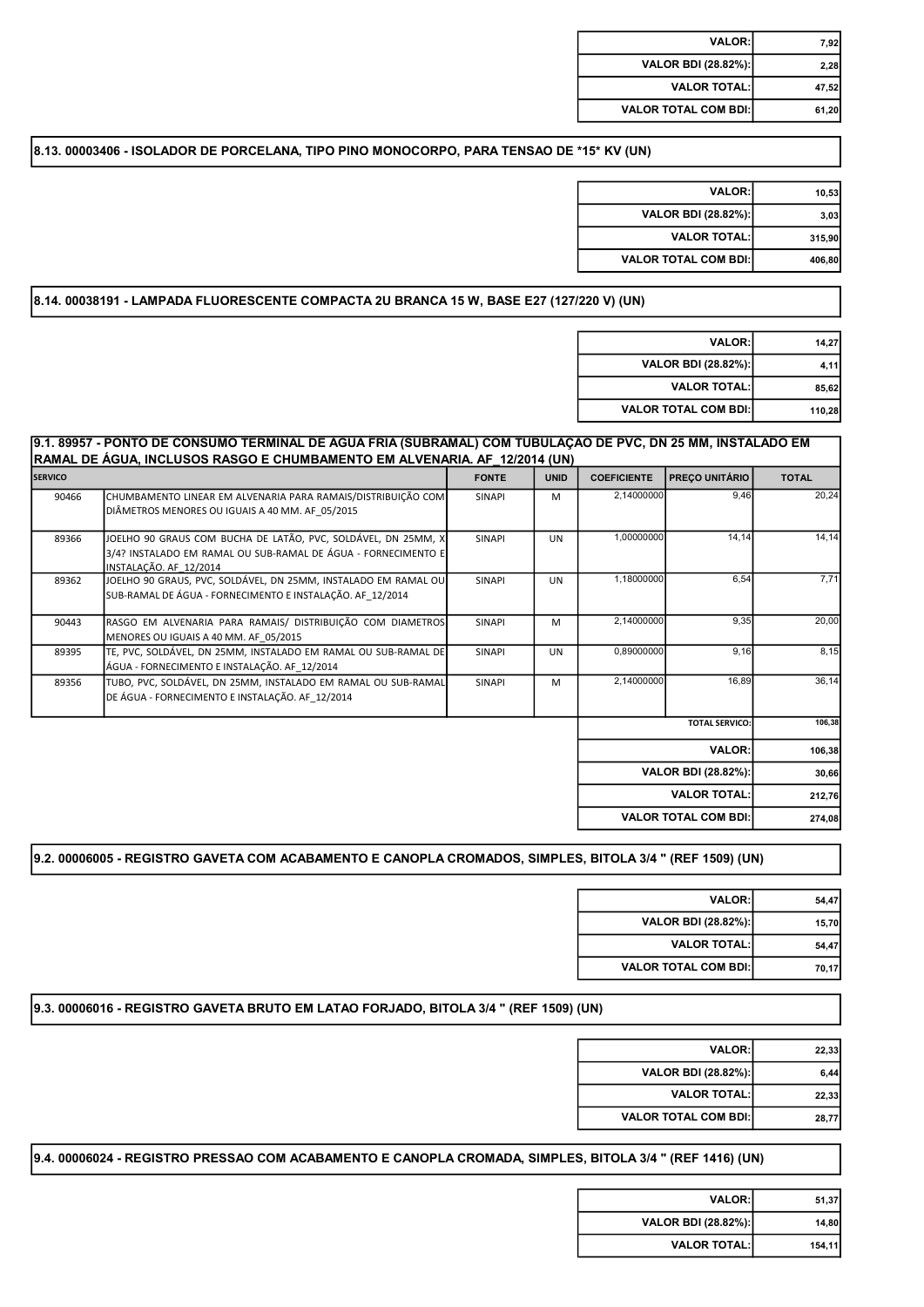| 7,92  | <b>VALOR:</b>               |
|-------|-----------------------------|
| 2,28  | VALOR BDI (28.82%):         |
| 47,52 | <b>VALOR TOTAL:</b>         |
| 61,20 | <b>VALOR TOTAL COM BDI:</b> |

# 8.13. 00003406 - ISOLADOR DE PORCELANA, TIPO PINO MONOCORPO, PARA TENSAO DE \*15\* KV (UN)

| <b>VALOR:</b>               | 10,53  |
|-----------------------------|--------|
| VALOR BDI (28.82%):         | 3.03   |
| <b>VALOR TOTAL:</b>         | 315.90 |
| <b>VALOR TOTAL COM BDI:</b> | 406,80 |

#### 8.14. 00038191 - LAMPADA FLUORESCENTE COMPACTA 2U BRANCA 15 W, BASE E27 (127/220 V) (UN)

| <b>VALOR:</b>               | 14,27  |
|-----------------------------|--------|
| VALOR BDI (28.82%):         | 4.11   |
| <b>VALOR TOTAL:</b>         | 85.62  |
| <b>VALOR TOTAL COM BDI:</b> | 110,28 |

# 9.1. 89957 - PONTO DE CONSUMO TERMINAL DE ÁGUA FRIA (SUBRAMAL) COM TUBULAÇÃO DE PVC, DN 25 MM, INSTALADO EM RAMAL DE ÁGUA, INCLUSOS RASGO E CHUMBAMENTO EM ALVENARIA. AF\_12/2014 (UN)

| <b>SERVICO</b> |                                                                                                                                                          | <b>FONTE</b>  | <b>UNID</b> | <b>COEFICIENTE</b> | <b>PREÇO UNITÁRIO</b>       | <b>TOTAL</b> |
|----------------|----------------------------------------------------------------------------------------------------------------------------------------------------------|---------------|-------------|--------------------|-----------------------------|--------------|
| 90466          | CHUMBAMENTO LINEAR EM ALVENARIA PARA RAMAIS/DISTRIBUIÇÃO COM<br>DIÂMETROS MENORES OU IGUAIS A 40 MM. AF 05/2015                                          | <b>SINAPI</b> | M           | 2,14000000         | 9,46                        | 20,24        |
| 89366          | JOELHO 90 GRAUS COM BUCHA DE LATÃO, PVC, SOLDÁVEL, DN 25MM, X<br>3/4? INSTALADO EM RAMAL OU SUB-RAMAL DE ÁGUA - FORNECIMENTO E<br>INSTALAÇÃO. AF 12/2014 | <b>SINAPI</b> | <b>UN</b>   | 1,00000000         | 14.14                       | 14, 14       |
| 89362          | JOELHO 90 GRAUS, PVC, SOLDÁVEL, DN 25MM, INSTALADO EM RAMAL OU<br>SUB-RAMAL DE ÁGUA - FORNECIMENTO E INSTALAÇÃO. AF 12/2014                              | <b>SINAPI</b> | <b>UN</b>   | 1,18000000         | 6,54                        | 7,71         |
| 90443          | RASGO EM ALVENARIA PARA RAMAIS/ DISTRIBUIÇÃO COM DIAMETROS<br>MENORES OU IGUAIS A 40 MM. AF 05/2015                                                      | <b>SINAPI</b> | M           | 2,14000000         | 9,35                        | 20,00        |
| 89395          | TE, PVC, SOLDÁVEL, DN 25MM, INSTALADO EM RAMAL OU SUB-RAMAL DE<br>ÁGUA - FORNECIMENTO E INSTALAÇÃO. AF 12/2014                                           | <b>SINAPI</b> | <b>UN</b>   | 0,89000000         | 9,16                        | 8,15         |
| 89356          | TUBO, PVC, SOLDÁVEL, DN 25MM, INSTALADO EM RAMAL OU SUB-RAMAL<br>DE ÁGUA - FORNECIMENTO E INSTALAÇÃO. AF 12/2014                                         | <b>SINAPI</b> | M           | 2,14000000         | 16,89                       | 36,14        |
|                |                                                                                                                                                          |               |             |                    | <b>TOTAL SERVICO:</b>       | 106,38       |
|                |                                                                                                                                                          |               |             |                    | <b>VALOR:</b>               | 106,38       |
|                |                                                                                                                                                          |               |             |                    | <b>VALOR BDI (28.82%):</b>  | 30,66        |
|                |                                                                                                                                                          |               |             |                    | <b>VALOR TOTAL:</b>         | 212,76       |
|                |                                                                                                                                                          |               |             |                    | <b>VALOR TOTAL COM BDI:</b> | 274,08       |

## 9.2. 00006005 - REGISTRO GAVETA COM ACABAMENTO E CANOPLA CROMADOS, SIMPLES, BITOLA 3/4 " (REF 1509) (UN)

| <b>VALOR:</b>                | 54,47 |
|------------------------------|-------|
| VALOR BDI (28.82%):          | 15,70 |
| <b>VALOR TOTAL:</b>          | 54,47 |
| <b>VALOR TOTAL COM BDI:I</b> | 70,17 |

## 9.3. 00006016 - REGISTRO GAVETA BRUTO EM LATAO FORJADO, BITOLA 3/4 " (REF 1509) (UN)

| 22,33 | <b>VALOR:</b>               |
|-------|-----------------------------|
| 6,44  | VALOR BDI (28.82%):         |
| 22,33 | <b>VALOR TOTAL:</b>         |
| 28,77 | <b>VALOR TOTAL COM BDI:</b> |

#### 9.4. 00006024 - REGISTRO PRESSAO COM ACABAMENTO E CANOPLA CROMADA, SIMPLES, BITOLA 3/4 " (REF 1416) (UN)

| 51,37  | <b>VALOR:I</b>             |
|--------|----------------------------|
| 14,80  | <b>VALOR BDI (28.82%):</b> |
| 154,11 | <b>VALOR TOTAL:</b>        |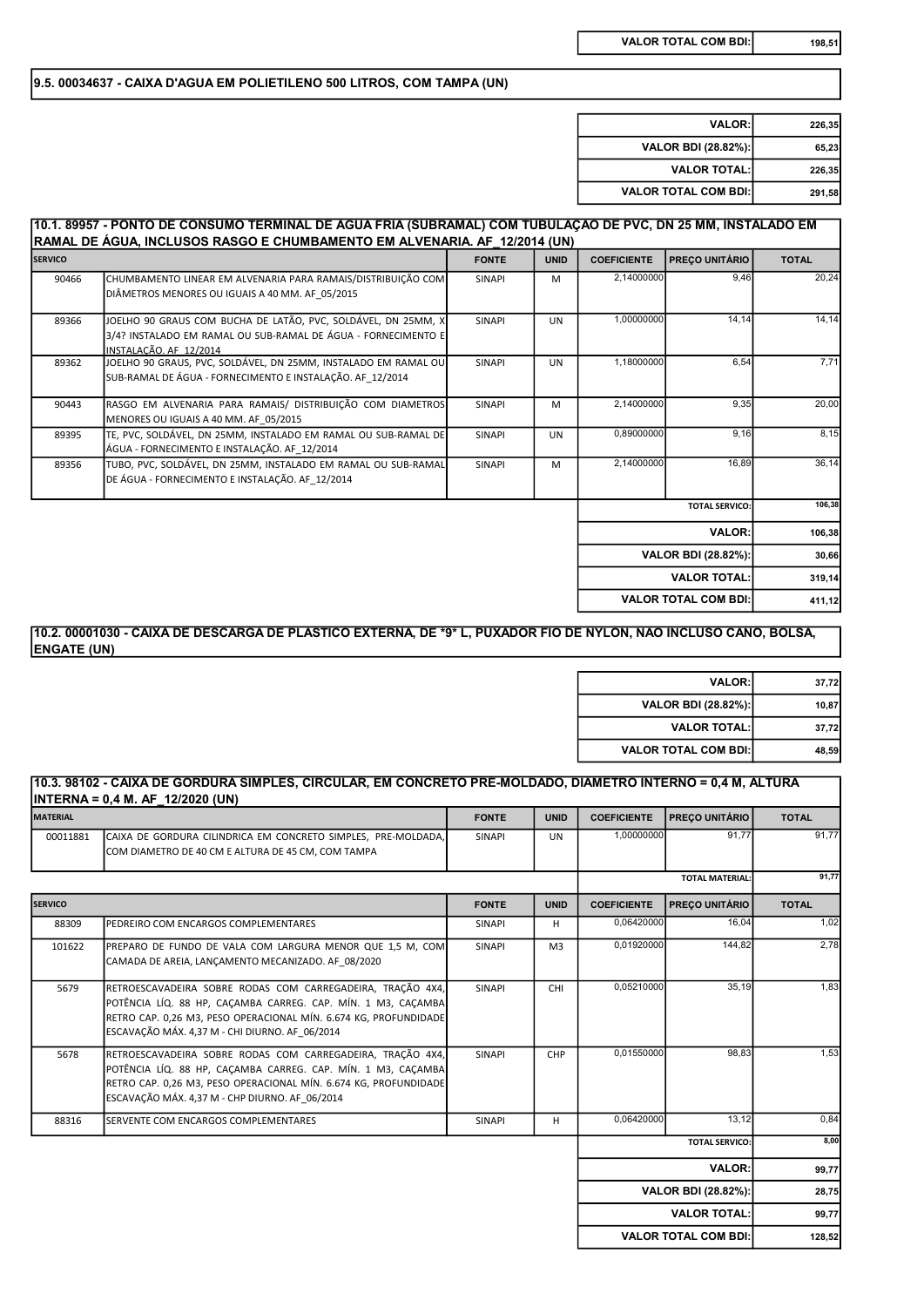## 9.5. 00034637 - CAIXA D'AGUA EM POLIETILENO 500 LITROS, COM TAMPA (UN)

| 226,35 | <b>VALOR:</b>               |
|--------|-----------------------------|
| 65.23  | VALOR BDI (28.82%):         |
| 226.35 | <b>VALOR TOTAL:</b>         |
| 291,58 | <b>VALOR TOTAL COM BDI:</b> |

# 10.1. 89957 - PONTO DE CONSUMO TERMINAL DE ÁGUA FRIA (SUBRAMAL) COM TUBULAÇÃO DE PVC, DN 25 MM, INSTALADO EM RAMAL DE ÁGUA, INCLUSOS RASGO E CHUMBAMENTO EM ALVENARIA. AF\_12/2014 (UN)

| T              |                                                                |               |             |                    |                             |              |
|----------------|----------------------------------------------------------------|---------------|-------------|--------------------|-----------------------------|--------------|
| <b>SERVICO</b> |                                                                | <b>FONTE</b>  | <b>UNID</b> | <b>COEFICIENTE</b> | <b>PRECO UNITÁRIO</b>       | <b>TOTAL</b> |
| 90466          | CHUMBAMENTO LINEAR EM ALVENARIA PARA RAMAIS/DISTRIBUIÇÃO COM   | <b>SINAPI</b> | M           | 2,14000000         | 9.46                        | 20,24        |
|                | DIÂMETROS MENORES OU IGUAIS A 40 MM. AF 05/2015                |               |             |                    |                             |              |
|                |                                                                |               |             |                    |                             |              |
| 89366          | JOELHO 90 GRAUS COM BUCHA DE LATÃO, PVC, SOLDÁVEL, DN 25MM, X  | <b>SINAPI</b> | <b>UN</b>   | 1,00000000         | 14,14                       | 14,14        |
|                | 3/4? INSTALADO EM RAMAL OU SUB-RAMAL DE ÁGUA - FORNECIMENTO E  |               |             |                    |                             |              |
|                | INSTALAÇÃO. AF 12/2014                                         |               |             |                    |                             |              |
| 89362          | JOELHO 90 GRAUS, PVC, SOLDÁVEL, DN 25MM, INSTALADO EM RAMAL OU | <b>SINAPI</b> | UN          | 1,18000000         | 6.54                        | 7,71         |
|                | SUB-RAMAL DE ÁGUA - FORNECIMENTO E INSTALAÇÃO. AF 12/2014      |               |             |                    |                             |              |
| 90443          | RASGO EM ALVENARIA PARA RAMAIS/ DISTRIBUIÇÃO COM DIAMETROS     | <b>SINAPI</b> | M           | 2,14000000         | 9,35                        | 20,00        |
|                | MENORES OU IGUAIS A 40 MM. AF 05/2015                          |               |             |                    |                             |              |
| 89395          | TE, PVC, SOLDÁVEL, DN 25MM, INSTALADO EM RAMAL OU SUB-RAMAL DE | <b>SINAPI</b> | <b>UN</b>   | 0,89000000         | 9,16                        | 8,15         |
|                | ÁGUA - FORNECIMENTO E INSTALAÇÃO. AF 12/2014                   |               |             |                    |                             |              |
| 89356          | TUBO, PVC, SOLDÁVEL, DN 25MM, INSTALADO EM RAMAL OU SUB-RAMAL  | <b>SINAPI</b> | M           | 2,14000000         | 16,89                       | 36,14        |
|                | DE ÁGUA - FORNECIMENTO E INSTALAÇÃO. AF 12/2014                |               |             |                    |                             |              |
|                |                                                                |               |             |                    |                             | 106,38       |
|                |                                                                |               |             |                    | <b>TOTAL SERVICO:</b>       |              |
|                |                                                                |               |             |                    | <b>VALOR:</b>               | 106,38       |
|                |                                                                |               |             |                    | VALOR BDI (28.82%):         | 30,66        |
|                |                                                                |               |             |                    | <b>VALOR TOTAL:</b>         | 319,14       |
|                |                                                                |               |             |                    | <b>VALOR TOTAL COM BDI:</b> | 411,12       |

## 10.2. 00001030 - CAIXA DE DESCARGA DE PLASTICO EXTERNA, DE \*9\* L, PUXADOR FIO DE NYLON, NAO INCLUSO CANO, BOLSA, ENGATE (UN)

| <b>VALOR:</b>               | 37,72 |
|-----------------------------|-------|
| VALOR BDI (28.82%):         | 10,87 |
| <b>VALOR TOTAL:</b>         | 37,72 |
| <b>VALOR TOTAL COM BDI:</b> | 48,59 |

## 10.3. 98102 - CAIXA DE GORDURA SIMPLES, CIRCULAR, EM CONCRETO PRÉ-MOLDADO, DIÂMETRO INTERNO = 0,4 M, ALTURA INTERNA = 0,4 M. AF\_12/2020 (UN)

| <b>MATERIAL</b> | .                                                                                                                                                                                                                                                | <b>FONTE</b>  | <b>UNID</b>    | <b>COEFICIENTE</b> | <b>PREÇO UNITÁRIO</b>       | <b>TOTAL</b> |
|-----------------|--------------------------------------------------------------------------------------------------------------------------------------------------------------------------------------------------------------------------------------------------|---------------|----------------|--------------------|-----------------------------|--------------|
| 00011881        | ICAIXA DE GORDURA CILINDRICA EM CONCRETO SIMPLES. PRE-MOLDADA.<br>COM DIAMETRO DE 40 CM E ALTURA DE 45 CM, COM TAMPA                                                                                                                             | <b>SINAPI</b> | <b>UN</b>      | 1,00000000         | 91.77                       | 91,77        |
|                 |                                                                                                                                                                                                                                                  |               |                |                    | <b>TOTAL MATERIAL:</b>      | 91,77        |
| <b>SERVICO</b>  |                                                                                                                                                                                                                                                  | <b>FONTE</b>  | <b>UNID</b>    | <b>COEFICIENTE</b> | <b>PRECO UNITÁRIO</b>       | <b>TOTAL</b> |
| 88309           | PEDREIRO COM ENCARGOS COMPLEMENTARES                                                                                                                                                                                                             | <b>SINAPI</b> | н              | 0,06420000         | 16,04                       | 1,02         |
| 101622          | PREPARO DE FUNDO DE VALA COM LARGURA MENOR QUE 1,5 M, COM<br>CAMADA DE AREIA, LANCAMENTO MECANIZADO. AF 08/2020                                                                                                                                  | <b>SINAPI</b> | M <sub>3</sub> | 0,01920000         | 144,82                      | 2,78         |
| 5679            | RETROESCAVADEIRA SOBRE RODAS COM CARREGADEIRA, TRAÇÃO 4X4,<br>POTÊNCIA LÍQ. 88 HP, CACAMBA CARREG. CAP. MÍN. 1 M3, CACAMBA<br>RETRO CAP. 0,26 M3, PESO OPERACIONAL MÍN. 6.674 KG, PROFUNDIDADE<br>ESCAVAÇÃO MÁX. 4,37 M - CHI DIURNO. AF 06/2014 | <b>SINAPI</b> | CHI            | 0.05210000         | 35.19                       | 1.83         |
| 5678            | RETROESCAVADEIRA SOBRE RODAS COM CARREGADEIRA, TRAÇÃO 4X4,<br>POTÊNCIA LÍQ. 88 HP, CACAMBA CARREG. CAP. MÍN. 1 M3, CACAMBA<br>RETRO CAP. 0,26 M3, PESO OPERACIONAL MÍN. 6.674 KG, PROFUNDIDADE<br>ESCAVAÇÃO MÁX. 4,37 M - CHP DIURNO. AF 06/2014 | <b>SINAPI</b> | CHP            | 0,01550000         | 98.83                       | 1,53         |
| 88316           | SERVENTE COM ENCARGOS COMPLEMENTARES                                                                                                                                                                                                             | <b>SINAPI</b> | H              | 0,06420000         | 13.12                       | 0,84         |
|                 |                                                                                                                                                                                                                                                  |               |                |                    | <b>TOTAL SERVICO:</b>       | 8,00         |
|                 |                                                                                                                                                                                                                                                  |               |                |                    | <b>VALOR:</b>               | 99,77        |
|                 |                                                                                                                                                                                                                                                  |               |                |                    | VALOR BDI (28.82%):         | 28,75        |
|                 |                                                                                                                                                                                                                                                  |               |                |                    | <b>VALOR TOTAL:</b>         | 99,77        |
|                 |                                                                                                                                                                                                                                                  |               |                |                    | <b>VALOR TOTAL COM BDI:</b> | 128,52       |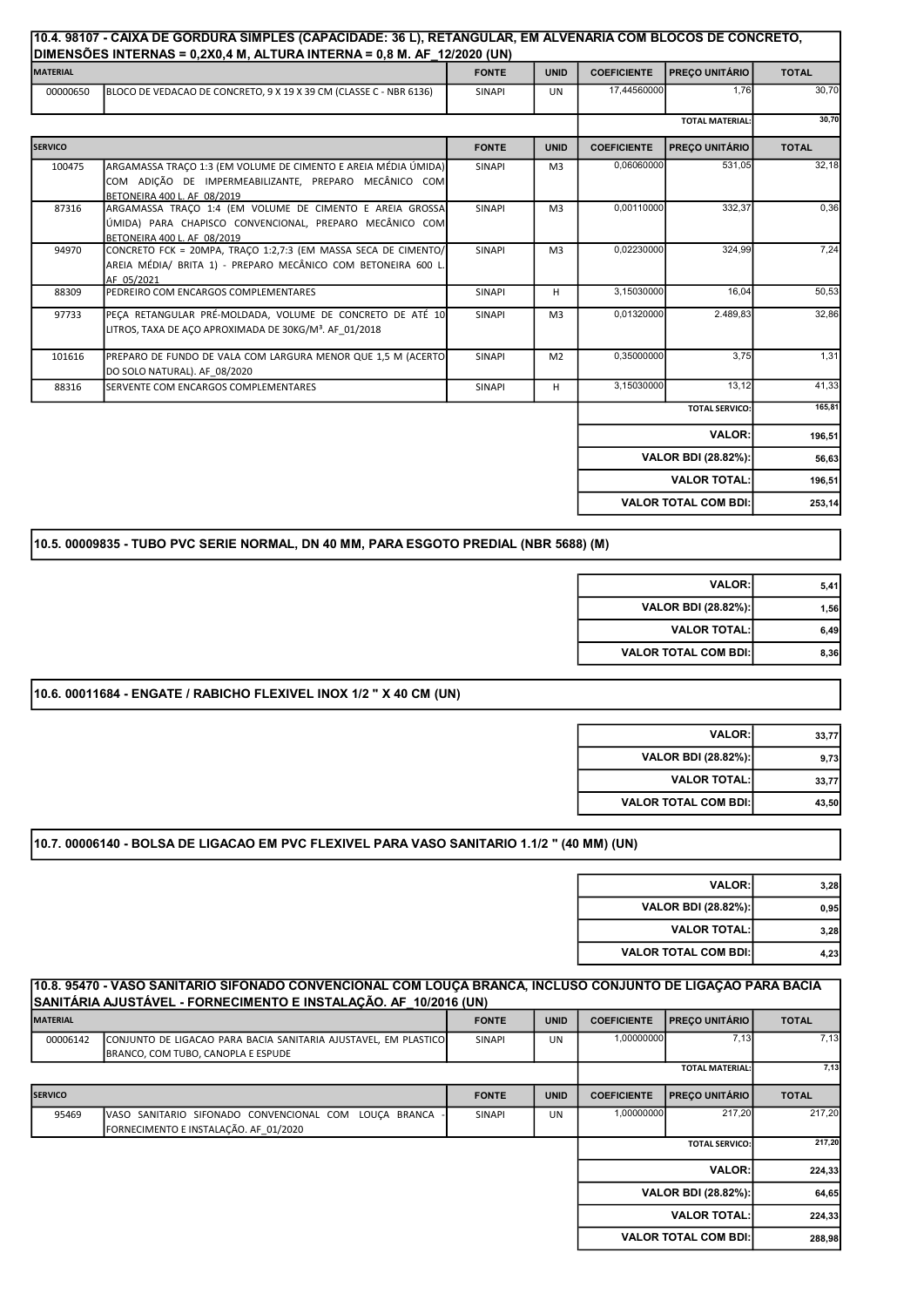|                 | DIMENSÕES INTERNAS = 0,2X0,4 M, ALTURA INTERNA = 0,8 M. AF_12/2020 (UN)                                                                                | 10.4. 98107 - CAIXA DE GORDURA SIMPLES (CAPACIDADE: 36 L), RETANGULAR, EM ALVENARIA COM BLOCOS DE CONCRETO, |                |                    |                             |              |
|-----------------|--------------------------------------------------------------------------------------------------------------------------------------------------------|-------------------------------------------------------------------------------------------------------------|----------------|--------------------|-----------------------------|--------------|
| <b>MATERIAL</b> |                                                                                                                                                        | <b>FONTE</b>                                                                                                | <b>UNID</b>    | <b>COEFICIENTE</b> | <b>PREÇO UNITÁRIO</b>       | <b>TOTAL</b> |
| 00000650        | BLOCO DE VEDACAO DE CONCRETO, 9 X 19 X 39 CM (CLASSE C - NBR 6136)                                                                                     | <b>SINAPI</b>                                                                                               | <b>UN</b>      | 17,44560000        | 1.76                        | 30,70        |
|                 |                                                                                                                                                        |                                                                                                             |                |                    | <b>TOTAL MATERIAL:</b>      | 30,70        |
| <b>SERVICO</b>  |                                                                                                                                                        | <b>FONTE</b>                                                                                                | <b>UNID</b>    | <b>COEFICIENTE</b> | <b>PREÇO UNITÁRIO</b>       | <b>TOTAL</b> |
| 100475          | ARGAMASSA TRAÇO 1:3 (EM VOLUME DE CIMENTO E AREIA MÉDIA ÚMIDA)<br>COM ADIÇÃO DE IMPERMEABILIZANTE, PREPARO MECÂNICO COM<br>BETONEIRA 400 L. AF 08/2019 | SINAPI                                                                                                      | M <sub>3</sub> | 0,06060000         | 531,05                      | 32,18        |
| 87316           | ARGAMASSA TRAÇO 1:4 (EM VOLUME DE CIMENTO E AREIA GROSSA<br>ÚMIDA) PARA CHAPISCO CONVENCIONAL, PREPARO MECÂNICO COM<br>BETONEIRA 400 L. AF 08/2019     | SINAPI                                                                                                      | M <sub>3</sub> | 0,00110000         | 332,37                      | 0.36         |
| 94970           | CONCRETO FCK = 20MPA, TRACO 1:2,7:3 (EM MASSA SECA DE CIMENTO/<br>AREIA MÉDIA/ BRITA 1) - PREPARO MECÂNICO COM BETONEIRA 600 L<br>AF 05/2021           | SINAPI                                                                                                      | M <sub>3</sub> | 0,02230000         | 324,99                      | 7,24         |
| 88309           | PEDREIRO COM ENCARGOS COMPLEMENTARES                                                                                                                   | SINAPI                                                                                                      | H              | 3,15030000         | 16.04                       | 50,53        |
| 97733           | PECA RETANGULAR PRÉ-MOLDADA, VOLUME DE CONCRETO DE ATÉ 10<br>LITROS, TAXA DE ACO APROXIMADA DE 30KG/M <sup>3</sup> . AF 01/2018                        | SINAPI                                                                                                      | M <sub>3</sub> | 0,01320000         | 2.489,83                    | 32,86        |
| 101616          | PREPARO DE FUNDO DE VALA COM LARGURA MENOR QUE 1,5 M (ACERTO<br>DO SOLO NATURAL). AF 08/2020                                                           | <b>SINAPI</b>                                                                                               | M <sub>2</sub> | 0.35000000         | 3.75                        | 1,31         |
| 88316           | SERVENTE COM ENCARGOS COMPLEMENTARES                                                                                                                   | SINAPI                                                                                                      | H              | 3,15030000         | 13, 12                      | 41,33        |
|                 |                                                                                                                                                        |                                                                                                             |                |                    | <b>TOTAL SERVICO:</b>       | 165,81       |
|                 |                                                                                                                                                        |                                                                                                             |                |                    | <b>VALOR:</b>               | 196,51       |
|                 |                                                                                                                                                        |                                                                                                             |                |                    | VALOR BDI (28.82%):         | 56,63        |
|                 |                                                                                                                                                        |                                                                                                             |                |                    | <b>VALOR TOTAL:</b>         | 196,51       |
|                 |                                                                                                                                                        |                                                                                                             |                |                    | <b>VALOR TOTAL COM BDI:</b> | 253,14       |

# 10.5. 00009835 - TUBO PVC SERIE NORMAL, DN 40 MM, PARA ESGOTO PREDIAL (NBR 5688) (M)

| <b>VALOR:</b>               | 5.41 |
|-----------------------------|------|
| VALOR BDI (28.82%):         | 1.56 |
| <b>VALOR TOTAL:</b>         | 6.49 |
| <b>VALOR TOTAL COM BDI:</b> | 8.36 |

# 10.6. 00011684 - ENGATE / RABICHO FLEXIVEL INOX 1/2 " X 40 CM (UN)

| <b>VALOR:</b>                | 33,77 |
|------------------------------|-------|
| VALOR BDI (28.82%):          | 9.73  |
| <b>VALOR TOTAL:</b>          | 33,77 |
| <b>VALOR TOTAL COM BDI:I</b> | 43,50 |

# 10.7. 00006140 - BOLSA DE LIGACAO EM PVC FLEXIVEL PARA VASO SANITARIO 1.1/2 " (40 MM) (UN)

| <b>VALOR:</b>               | 3.28 |
|-----------------------------|------|
| <b>VALOR BDI (28.82%):</b>  | 0.95 |
| <b>VALOR TOTAL:</b>         | 3.28 |
| <b>VALOR TOTAL COM BDI:</b> | 4.23 |

|                 | 10.8. 95470 - VASO SANITARIO SIFONADO CONVENCIONAL COM LOUÇA BRANCA, INCLUSO CONJUNTO DE LIGAÇÃO PARA BACIA |               |             |                    |                             |              |
|-----------------|-------------------------------------------------------------------------------------------------------------|---------------|-------------|--------------------|-----------------------------|--------------|
|                 | SANITÁRIA AJUSTÁVEL - FORNECIMENTO E INSTALAÇÃO. AF 10/2016 (UN)                                            |               |             |                    |                             |              |
| <b>MATERIAL</b> |                                                                                                             | <b>FONTE</b>  | <b>UNID</b> | <b>COEFICIENTE</b> | <b>PRECO UNITÁRIO</b>       | <b>TOTAL</b> |
| 00006142        | CONJUNTO DE LIGACAO PARA BACIA SANITARIA AJUSTAVEL, EM PLASTICO                                             | <b>SINAPI</b> | UN          | 1,00000000         | 7,13                        | 7,13         |
|                 | BRANCO, COM TUBO, CANOPLA E ESPUDE                                                                          |               |             |                    |                             |              |
|                 |                                                                                                             |               |             |                    | <b>TOTAL MATERIAL:</b>      | 7,13         |
| <b>SERVICO</b>  |                                                                                                             | <b>FONTE</b>  | <b>UNID</b> | <b>COEFICIENTE</b> | <b>PRECO UNITÁRIO</b>       | <b>TOTAL</b> |
| 95469           | LOUCA BRANCA<br>IVASO SANITARIO SIFONADO CONVENCIONAL COM                                                   | <b>SINAPI</b> | <b>UN</b>   | 1,00000000         | 217,20                      | 217,20       |
|                 | FORNECIMENTO E INSTALAÇÃO. AF 01/2020                                                                       |               |             |                    |                             |              |
|                 |                                                                                                             |               |             |                    | <b>TOTAL SERVICO:</b>       | 217,20       |
|                 |                                                                                                             |               |             |                    | <b>VALOR:</b>               | 224,33       |
|                 |                                                                                                             |               |             |                    | <b>VALOR BDI (28.82%):</b>  | 64,65        |
|                 |                                                                                                             |               |             |                    | <b>VALOR TOTAL:</b>         | 224,33       |
|                 |                                                                                                             |               |             |                    | <b>VALOR TOTAL COM BDI:</b> | 288.98       |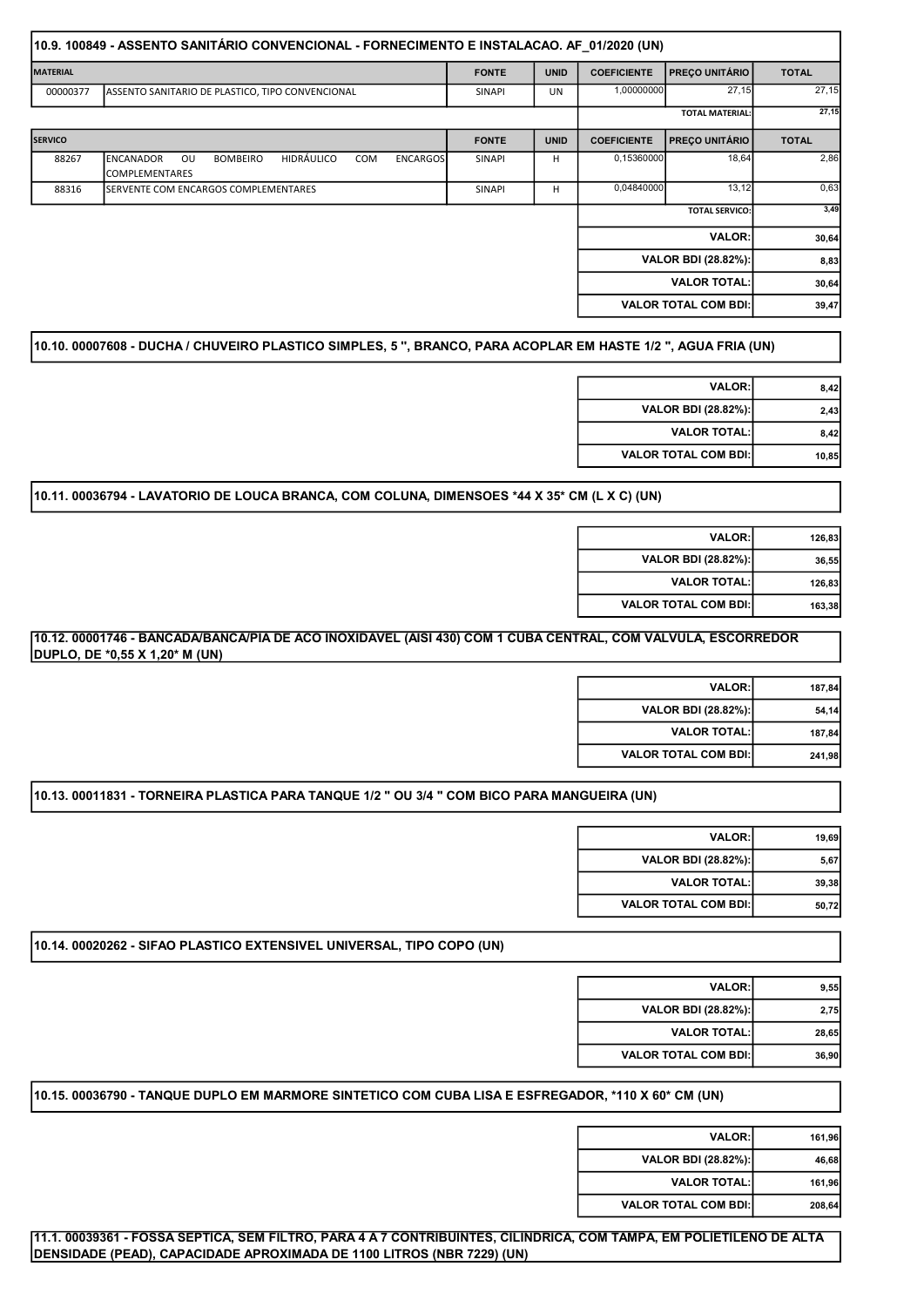|                 | 10.9. 100849 - ASSENTO SANITÁRIO CONVENCIONAL - FORNECIMENTO E INSTALACAO. AF_01/2020 (UN)                        |               |             |                    |                             |              |
|-----------------|-------------------------------------------------------------------------------------------------------------------|---------------|-------------|--------------------|-----------------------------|--------------|
| <b>MATERIAL</b> |                                                                                                                   | <b>FONTE</b>  | <b>UNID</b> | <b>COEFICIENTE</b> | <b>PREÇO UNITÁRIO</b>       | <b>TOTAL</b> |
| 00000377        | ASSENTO SANITARIO DE PLASTICO, TIPO CONVENCIONAL                                                                  | SINAPI        | UN          | 1,00000000         | 27,15                       | 27,15        |
|                 |                                                                                                                   |               |             |                    | <b>TOTAL MATERIAL:</b>      | 27,15        |
| <b>SERVICO</b>  |                                                                                                                   | <b>FONTE</b>  | <b>UNID</b> | <b>COEFICIENTE</b> | <b>PRECO UNITÁRIO</b>       | <b>TOTAL</b> |
| 88267           | <b>HIDRÁULICO</b><br><b>ENCANADOR</b><br>OU<br><b>BOMBEIRO</b><br>COM<br><b>ENCARGOS</b><br><b>COMPLEMENTARES</b> | <b>SINAPI</b> | н           | 0,15360000         | 18,64                       | 2,86         |
| 88316           | SERVENTE COM ENCARGOS COMPLEMENTARES                                                                              | <b>SINAPI</b> | н           | 0,04840000         | 13,12                       | 0,63         |
|                 |                                                                                                                   |               |             |                    | <b>TOTAL SERVICO:</b>       | 3,49         |
|                 |                                                                                                                   |               |             |                    | <b>VALOR:</b>               | 30,64        |
|                 |                                                                                                                   |               |             |                    | VALOR BDI (28.82%):         | 8,83         |
|                 |                                                                                                                   |               |             |                    | <b>VALOR TOTAL:</b>         | 30,64        |
|                 |                                                                                                                   |               |             |                    | <b>VALOR TOTAL COM BDI:</b> | 39,47        |

10.10. 00007608 - DUCHA / CHUVEIRO PLASTICO SIMPLES, 5 '', BRANCO, PARA ACOPLAR EM HASTE 1/2 ", AGUA FRIA (UN)

| 8.42  | <b>VALOR:</b>               |
|-------|-----------------------------|
| 2.43  | <b>VALOR BDI (28.82%):</b>  |
| 8.42  | <b>VALOR TOTAL:</b>         |
| 10,85 | <b>VALOR TOTAL COM BDI:</b> |
|       |                             |

# 10.11. 00036794 - LAVATORIO DE LOUCA BRANCA, COM COLUNA, DIMENSOES \*44 X 35\* CM (L X C) (UN)

| 126,83 | <b>VALOR:</b>               |
|--------|-----------------------------|
| 36.55  | VALOR BDI (28.82%):         |
| 126.83 | <b>VALOR TOTAL:</b>         |
| 163.38 | <b>VALOR TOTAL COM BDI:</b> |
|        |                             |

# 10.12. 00001746 - BANCADA/BANCA/PIA DE ACO INOXIDAVEL (AISI 430) COM 1 CUBA CENTRAL, COM VALVULA, ESCORREDOR DUPLO, DE \*0,55 X 1,20\* M (UN)

| 187,84 | <b>VALOR:</b>               |
|--------|-----------------------------|
| 54.14  | VALOR BDI (28.82%):         |
| 187,84 | <b>VALOR TOTAL:</b>         |
| 241,98 | <b>VALOR TOTAL COM BDI:</b> |

# 10.13. 00011831 - TORNEIRA PLASTICA PARA TANQUE 1/2 " OU 3/4 " COM BICO PARA MANGUEIRA (UN)

| <b>VALOR:</b>               | 19.69 |
|-----------------------------|-------|
| VALOR BDI (28.82%):         | 5.67  |
| <b>VALOR TOTAL:</b>         | 39.38 |
| <b>VALOR TOTAL COM BDI:</b> | 50.72 |

# 10.14. 00020262 - SIFAO PLASTICO EXTENSIVEL UNIVERSAL, TIPO COPO (UN)

| 9,55  | <b>VALOR:</b>               |
|-------|-----------------------------|
| 2.75  | VALOR BDI (28.82%):         |
| 28,65 | <b>VALOR TOTAL:</b>         |
| 36,90 | <b>VALOR TOTAL COM BDI:</b> |

10.15. 00036790 - TANQUE DUPLO EM MARMORE SINTETICO COM CUBA LISA E ESFREGADOR, \*110 X 60\* CM (UN)

| 161.96 | <b>VALOR:</b>               |
|--------|-----------------------------|
| 46.68  | VALOR BDI (28.82%):         |
| 161.96 | <b>VALOR TOTAL:</b>         |
| 208.64 | <b>VALOR TOTAL COM BDI:</b> |

11.1. 00039361 - FOSSA SEPTICA, SEM FILTRO, PARA 4 A 7 CONTRIBUINTES, CILINDRICA, COM TAMPA, EM POLIETILENO DE ALTA DENSIDADE (PEAD), CAPACIDADE APROXIMADA DE 1100 LITROS (NBR 7229) (UN)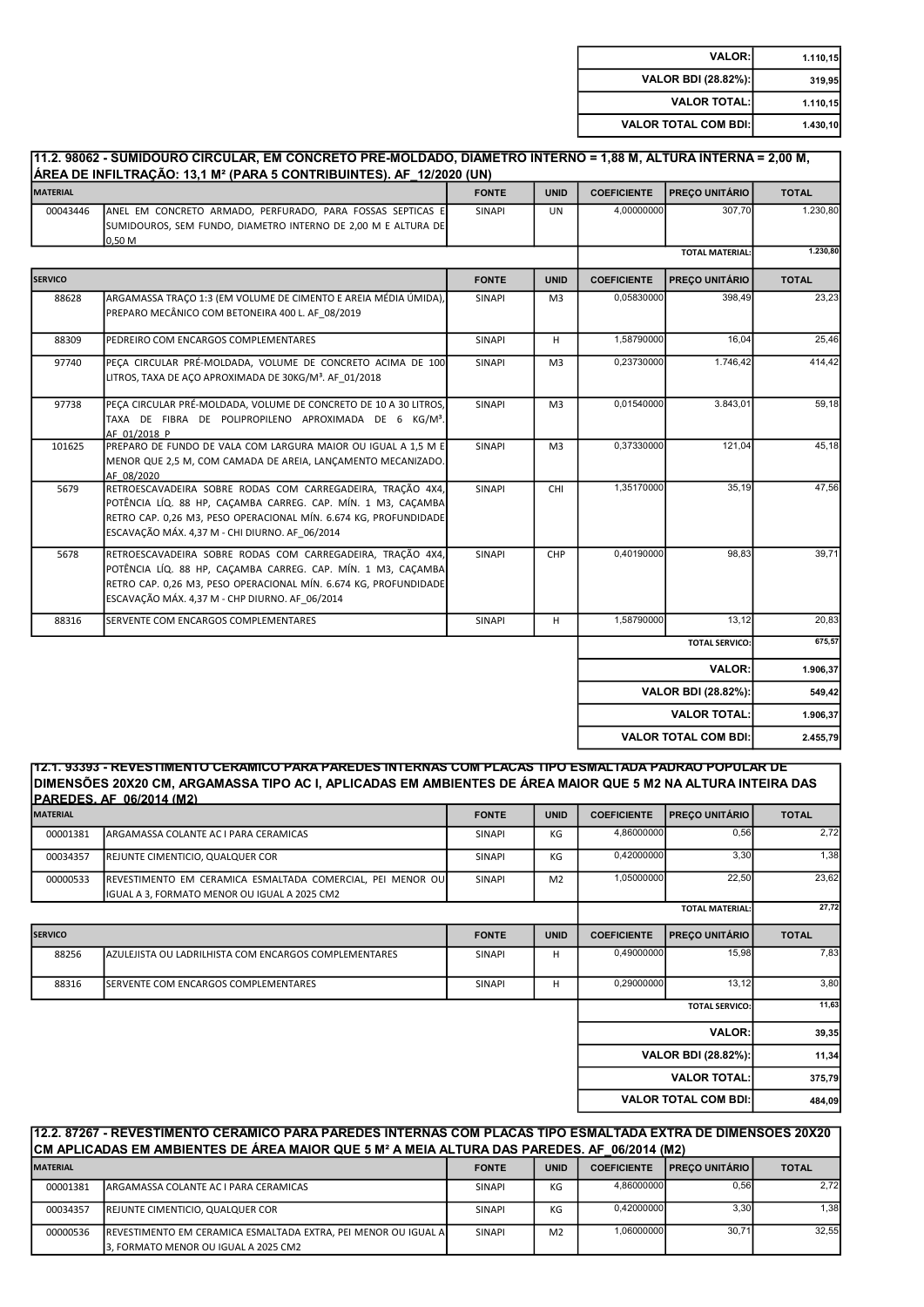| 1.110, 15 | <b>VALOR:</b>               |
|-----------|-----------------------------|
| 319,95    | VALOR BDI (28.82%):         |
| 1.110, 15 | <b>VALOR TOTAL:</b>         |
| 1.430, 10 | <b>VALOR TOTAL COM BDI:</b> |

#### FONTE UNID COEFICIENTE PREÇO UNITÁRIO TOTAL 00043446 ANEL EM CONCRETO ARMADO, PERFURADO, PARA FOSSAS SEPTICAS E SUMIDOUROS, SEM FUNDO, DIAMETRO INTERNO DE 2,00 M E ALTURA DE lი.50 <u>M</u> SINAPI UN 4,00000000 307,70 1.230,80 1.230,80 FONTE UNID COEFICIENTE PREÇO UNITÁRIO TOTAL 88628 ARGAMASSA TRAÇO 1:3 (EM VOLUME DE CIMENTO E AREIA MÉDIA ÚMIDA), PREPARO MECÂNICO COM BETONEIRA 400 L. AF\_08/2019 SINAPI | M3 | 0,05830000 398,49 23,23 88309 PEDREIRO COM ENCARGOS COMPLEMENTARES SINAPI H 1,58790000 16,04 25,46 97740 PECA CIRCULAR PRÉ-MOLDADA, VOLUME DE CONCRETO ACIMA DE 100 LITROS, TAXA DE AÇO APROXIMADA DE 30KG/M<sup>3</sup>. AF\_01/2018 SINAPI M3 0,23730000 1.746,42 414,42 97738 PEÇA CIRCULAR PRÉ-MOLDADA, VOLUME DE CONCRETO DE 10 A 30 LITROS, TAXA DE FIBRA DE POLIPROPILENO APROXIMADA DE 6 KG/M³. AF\_01/2018\_P SINAPI | M3 | 0,01540000 | 3.843,01 | 59,18 101625 PREPARO DE FUNDO DE VALA COM LARGURA MAIOR OU IGUAL A 1,5 M E MENOR QUE 2,5 M, COM CAMADA DE AREIA, LANÇAMENTO MECANIZADO. **AF\_08/2020** SINAPI | M3 | 0,37330000 | 121,04 45,18 5679 RETROESCAVADEIRA SOBRE RODAS COM CARREGADEIRA, TRAÇÃO 4X4, POTÊNCIA LÍQ. 88 HP, CAÇAMBA CARREG. CAP. MÍN. 1 M3, CAÇAMBA RETRO CAP. 0,26 M3, PESO OPERACIONAL MÍN. 6.674 KG, PROFUNDIDADE ESCAVAÇÃO MÁX. 4,37 M - CHI DIURNO. AF\_06/2014 SINAPI CHI 1,35170000 35,19 47,56 5678 RETROESCAVADEIRA SOBRE RODAS COM CARREGADEIRA, TRAÇÃO 4X4, POTÊNCIA LÍQ. 88 HP, CAÇAMBA CARREG. CAP. MÍN. 1 M3, CAÇAMBA RETRO CAP. 0,26 M3, PESO OPERACIONAL MÍN. 6.674 KG, PROFUNDIDADE ESCAVAÇÃO MÁX. 4,37 M - CHP DIURNO. AF\_06/2014 SINAPI CHP 0,40190000 98,83 39,71 88316 SERVENTE COM ENCARGOS COMPLEMENTARES STATE SINAPI H 1,58790000 13,12 20,83 675,57 1.906,37 549,42 1.906,37 2.455,79 VALOR: VALOR BDI (28.82%): VALOR TOTAL: VALOR TOTAL COM BDI: 11.2. 98062 - SUMIDOURO CIRCULAR, EM CONCRETO PRÉ-MOLDADO, DIÂMETRO INTERNO = 1,88 M, ALTURA INTERNA = 2,00 M, ÁREA DE INFILTRAÇÃO: 13,1 M² (PARA 5 CONTRIBUINTES). AF\_12/2020 (UN) **MATERIAL** TOTAL MATERIAL: SERVICO TOTAL SERVICO:

12.1. 93393 - REVESTIMENTO CERÂMICO PARA PAREDES INTERNAS COM PLACAS TIPO ESMALTADA PADRÃO POPULAR DE DIMENSÕES 20X20 CM, ARGAMASSA TIPO AC I, APLICADAS EM AMBIENTES DE ÁREA MAIOR QUE 5 M2 NA ALTURA INTEIRA DAS PAREDES. AF\_06/2014 (M2)

|                                                                                                            |               | <b>UNID</b>    | <b>COEFICIENTE</b> | <b>PREÇO UNITÁRIO</b>  | <b>TOTAL</b>                                                                                                                                  |
|------------------------------------------------------------------------------------------------------------|---------------|----------------|--------------------|------------------------|-----------------------------------------------------------------------------------------------------------------------------------------------|
| ARGAMASSA COLANTE AC I PARA CERAMICAS                                                                      | SINAPI        | KG             | 4,86000000         | 0,56                   | 2,72                                                                                                                                          |
| <b>REJUNTE CIMENTICIO, QUALQUER COR</b>                                                                    | <b>SINAPI</b> | KG             |                    |                        | 1,38                                                                                                                                          |
| REVESTIMENTO EM CERAMICA ESMALTADA COMERCIAL, PEI MENOR OU<br>IGUAL A 3, FORMATO MENOR OU IGUAL A 2025 CM2 | SINAPI        | M <sub>2</sub> |                    |                        | 23,62                                                                                                                                         |
|                                                                                                            |               |                |                    | <b>TOTAL MATERIAL:</b> | 27,72                                                                                                                                         |
|                                                                                                            | <b>FONTE</b>  | <b>UNID</b>    | <b>COEFICIENTE</b> | <b>PREÇO UNITÁRIO</b>  | <b>TOTAL</b>                                                                                                                                  |
| AZULEJISTA OU LADRILHISTA COM ENCARGOS COMPLEMENTARES                                                      | SINAPI        | н              |                    |                        | 7,83                                                                                                                                          |
| SERVENTE COM ENCARGOS COMPLEMENTARES                                                                       | SINAPI        | H              |                    |                        | 3,80                                                                                                                                          |
|                                                                                                            |               |                |                    | <b>TOTAL SERVICO:</b>  | 11,63                                                                                                                                         |
|                                                                                                            |               |                |                    | <b>VALOR:</b>          | 39,35                                                                                                                                         |
|                                                                                                            |               |                |                    |                        | 11,34                                                                                                                                         |
|                                                                                                            |               |                |                    | <b>VALOR TOTAL:</b>    | 375,79                                                                                                                                        |
|                                                                                                            |               |                |                    |                        | 484,09                                                                                                                                        |
|                                                                                                            |               |                |                    |                        | 0,42000000<br>3,30<br>1,05000000<br>22,50<br>0,49000000<br>15,98<br>0,29000000<br>13,12<br>VALOR BDI (28.82%):<br><b>VALOR TOTAL COM BDI:</b> |

| 112.2. 87267 - REVESTIMENTO CERAMICO PARA PAREDES INTERNAS COM PLACAS TIPO ESMALTADA EXTRA DE DIMENSOES 20X20     |  |  |  |  |  |  |  |  |
|-------------------------------------------------------------------------------------------------------------------|--|--|--|--|--|--|--|--|
| CM APLICADAS EM AMBIENTES DE ÁREA MAIOR QUE 5 Mª A MEIA ALTURA DAS PAREDES. AF  06/2014 (M2)                      |  |  |  |  |  |  |  |  |
| <b>MATERIAL</b><br><b>UNID</b><br><b>I PRECO UNITÁRIO I</b><br><b>TOTAL</b><br><b>COEFICIENTE</b><br><b>FONTE</b> |  |  |  |  |  |  |  |  |

|          |                                                                        | <b>FUNIE</b>  | שויש           | <b>CULFICIENTE</b> | <b>FREUD UNITARIO</b> | $10I$ AL |
|----------|------------------------------------------------------------------------|---------------|----------------|--------------------|-----------------------|----------|
| 00001381 | ARGAMASSA COLANTE AC I PARA CERAMICAS                                  | <b>SINAPI</b> | KG             | 4.86000000         | 0,56                  | 2,72     |
| 00034357 | <b>REJUNTE CIMENTICIO, QUALQUER COR</b>                                | <b>SINAPI</b> | KG             | 0.42000000         | 3,30                  | 1.38     |
| 00000536 | <b>IREVESTIMENTO EM CERAMICA ESMALTADA EXTRA, PEI MENOR OU IGUAL A</b> | <b>SINAPI</b> | M <sub>2</sub> | 1.06000000         | 30,71                 | 32,55    |
|          | . FORMATO MENOR OU IGUAL A 2025 CM2                                    |               |                |                    |                       |          |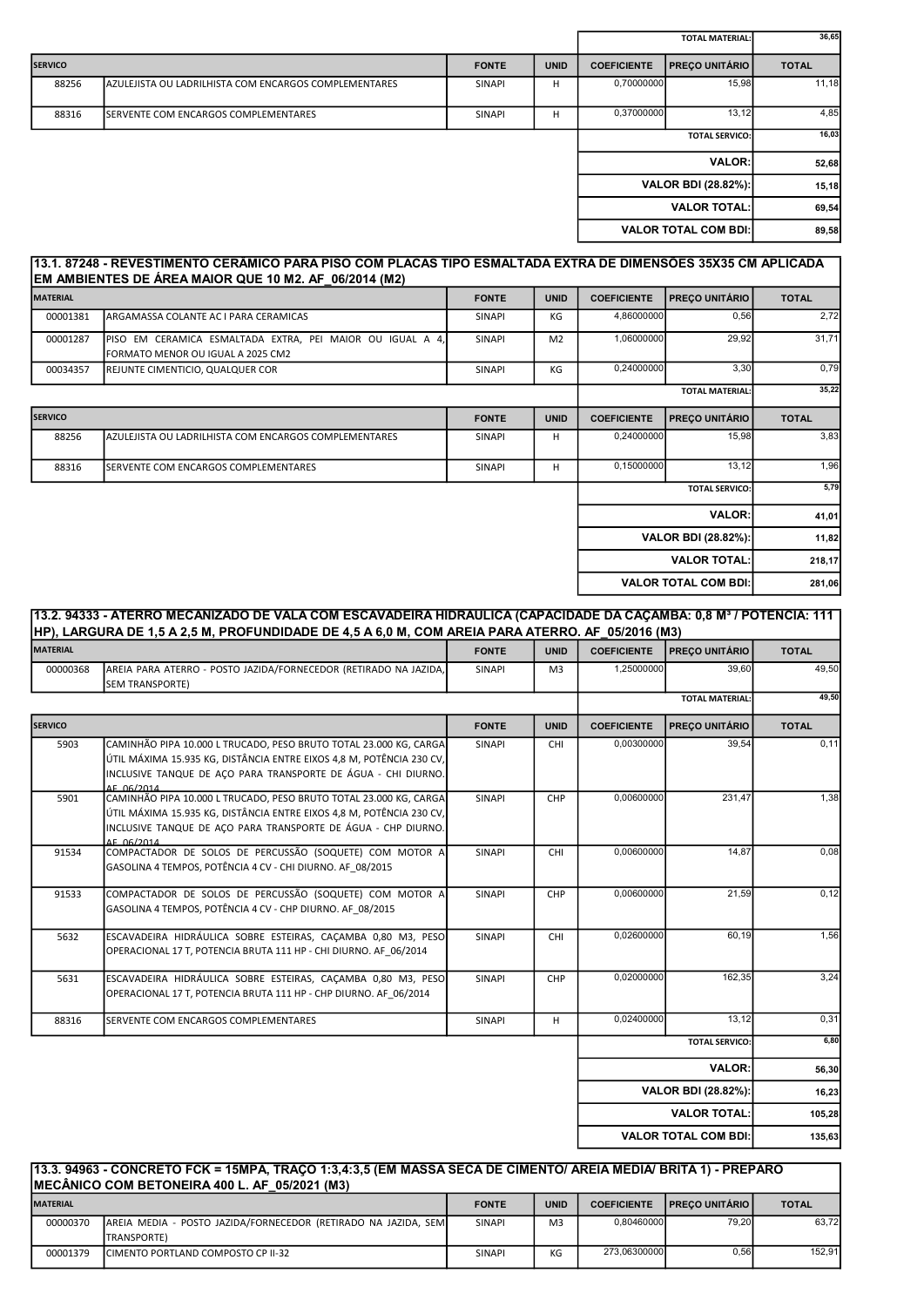|                |                                                       |               |             |                    | <b>TOTAL MATERIAL:</b>      | 36,65        |
|----------------|-------------------------------------------------------|---------------|-------------|--------------------|-----------------------------|--------------|
| <b>SERVICO</b> |                                                       | <b>FONTE</b>  | <b>UNID</b> | <b>COEFICIENTE</b> | <b>PRECO UNITÁRIO</b>       | <b>TOTAL</b> |
| 88256          | AZULEJISTA OU LADRILHISTA COM ENCARGOS COMPLEMENTARES | SINAPI        | H           | 0,70000000         | 15,98                       | 11,18        |
| 88316          | <b>ISERVENTE COM ENCARGOS COMPLEMENTARES</b>          | <b>SINAPI</b> | H           | 0,37000000         | 13,12                       | 4,85         |
|                |                                                       |               |             |                    | <b>TOTAL SERVICO:</b>       | 16,03        |
|                |                                                       |               |             |                    | <b>VALOR:</b>               | 52,68        |
|                |                                                       |               |             |                    | VALOR BDI (28.82%):         | 15, 18       |
|                |                                                       |               |             |                    | <b>VALOR TOTAL:</b>         | 69,54        |
|                |                                                       |               |             |                    | <b>VALOR TOTAL COM BDI:</b> | 89,58        |
|                |                                                       |               |             |                    |                             |              |

## 13.1. 87248 - REVESTIMENTO CERÂMICO PARA PISO COM PLACAS TIPO ESMALTADA EXTRA DE DIMENSÕES 35X35 CM APLICADA EM AMBIENTES DE ÁREA MAIOR QUE 10 M2. AF\_06/2014 (M2)

| <b>MATERIAL</b> |                                                                                                | <b>FONTE</b>  | <b>UNID</b>    | <b>COEFICIENTE</b> | <b>PREÇO UNITÁRIO</b>       | <b>TOTAL</b> |
|-----------------|------------------------------------------------------------------------------------------------|---------------|----------------|--------------------|-----------------------------|--------------|
| 00001381        | ARGAMASSA COLANTE AC I PARA CERAMICAS                                                          | <b>SINAPI</b> | KG             | 4,86000000         | 0,56                        | 2,72         |
| 00001287        | PISO EM CERAMICA ESMALTADA EXTRA, PEI MAIOR OU IGUAL A 4,<br>FORMATO MENOR OU IGUAL A 2025 CM2 | SINAPI        | M <sub>2</sub> | 1,06000000         | 29,92                       | 31,71        |
| 00034357        | REJUNTE CIMENTICIO, QUALQUER COR                                                               | <b>SINAPI</b> | KG             | 0,24000000         | 3,30                        | 0,79         |
|                 |                                                                                                |               |                |                    | <b>TOTAL MATERIAL:</b>      | 35,22        |
| <b>SERVICO</b>  |                                                                                                | <b>FONTE</b>  | <b>UNID</b>    | <b>COEFICIENTE</b> | <b>PREÇO UNITÁRIO</b>       | <b>TOTAL</b> |
| 88256           | AZULEJISTA OU LADRILHISTA COM ENCARGOS COMPLEMENTARES                                          | SINAPI        | н              | 0,24000000         | 15,98                       | 3,83         |
| 88316           | SERVENTE COM ENCARGOS COMPLEMENTARES                                                           | <b>SINAPI</b> | H              | 0,15000000         | 13,12                       | 1,96         |
|                 |                                                                                                |               |                |                    | <b>TOTAL SERVICO:</b>       | 5,79         |
|                 |                                                                                                |               |                |                    | <b>VALOR:</b>               | 41,01        |
|                 |                                                                                                |               |                |                    | <b>VALOR BDI (28.82%):</b>  | 11,82        |
|                 |                                                                                                |               |                |                    | <b>VALOR TOTAL:</b>         | 218,17       |
|                 |                                                                                                |               |                |                    | <b>VALOR TOTAL COM BDI:</b> | 281,06       |

## 13.2. 94333 - ATERRO MECANIZADO DE VALA COM ESCAVADEIRA HIDRÁULICA (CAPACIDADE DA CAÇAMBA: 0,8 M³ / POTÊNCIA: 111 HP), LARGURA DE 1,5 A 2,5 M, PROFUNDIDADE DE 4,5 A 6,0 M, COM AREIA PARA ATERRO. AF\_05/2016 (M3)

| <b>MATERIAL</b> |                                                                                                                                                                                                                                 | <b>FONTE</b>  | <b>UNID</b>    | <b>COEFICIENTE</b> | <b>PREÇO UNITÁRIO</b>       | <b>TOTAL</b> |
|-----------------|---------------------------------------------------------------------------------------------------------------------------------------------------------------------------------------------------------------------------------|---------------|----------------|--------------------|-----------------------------|--------------|
| 00000368        | AREIA PARA ATERRO - POSTO JAZIDA/FORNECEDOR (RETIRADO NA JAZIDA,<br><b>SEM TRANSPORTE)</b>                                                                                                                                      | <b>SINAPI</b> | M <sub>3</sub> | 1,25000000         | 39.60                       | 49,50        |
|                 |                                                                                                                                                                                                                                 |               |                |                    | <b>TOTAL MATERIAL:</b>      | 49.50        |
| <b>SERVICO</b>  |                                                                                                                                                                                                                                 | <b>FONTE</b>  | <b>UNID</b>    | <b>COEFICIENTE</b> | PREÇO UNITÁRIO              | <b>TOTAL</b> |
| 5903            | CAMINHÃO PIPA 10.000 L TRUCADO, PESO BRUTO TOTAL 23.000 KG, CARGA<br>ÚTIL MÁXIMA 15.935 KG, DISTÂNCIA ENTRE EIXOS 4,8 M, POTÊNCIA 230 CV,<br>INCLUSIVE TANQUE DE ACO PARA TRANSPORTE DE ÁGUA - CHI DIURNO.<br>AF 06/2014        | SINAPI        | <b>CHI</b>     | 0,00300000         | 39,54                       | 0,11         |
| 5901            | CAMINHÃO PIPA 10.000 L TRUCADO, PESO BRUTO TOTAL 23.000 KG, CARGA<br>ÚTIL MÁXIMA 15.935 KG, DISTÂNCIA ENTRE EIXOS 4,8 M, POTÊNCIA 230 CV,<br>INCLUSIVE TANQUE DE ACO PARA TRANSPORTE DE ÁGUA - CHP DIURNO.<br><b>AF 06/2014</b> | SINAPI        | CHP            | 0,00600000         | 231,47                      | 1,38         |
| 91534           | COMPACTADOR DE SOLOS DE PERCUSSÃO (SOQUETE) COM MOTOR A<br>GASOLINA 4 TEMPOS, POTÊNCIA 4 CV - CHI DIURNO. AF 08/2015                                                                                                            | SINAPI        | CHI            | 0,00600000         | 14,87                       | 0,08         |
| 91533           | COMPACTADOR DE SOLOS DE PERCUSSÃO (SOQUETE) COM MOTOR A<br>GASOLINA 4 TEMPOS, POTÊNCIA 4 CV - CHP DIURNO. AF 08/2015                                                                                                            | SINAPI        | CHP            | 0,00600000         | 21,59                       | 0,12         |
| 5632            | ESCAVADEIRA HIDRÁULICA SOBRE ESTEIRAS, CACAMBA 0,80 M3, PESO<br>OPERACIONAL 17 T, POTENCIA BRUTA 111 HP - CHI DIURNO. AF 06/2014                                                                                                | SINAPI        | <b>CHI</b>     | 0,02600000         | 60,19                       | 1,56         |
| 5631            | ESCAVADEIRA HIDRÁULICA SOBRE ESTEIRAS, CACAMBA 0,80 M3, PESO<br>OPERACIONAL 17 T, POTENCIA BRUTA 111 HP - CHP DIURNO. AF 06/2014                                                                                                | <b>SINAPI</b> | CHP            | 0,02000000         | 162,35                      | 3,24         |
| 88316           | SERVENTE COM ENCARGOS COMPLEMENTARES                                                                                                                                                                                            | <b>SINAPI</b> | H              | 0,02400000         | 13.12                       | 0.31         |
|                 |                                                                                                                                                                                                                                 |               |                |                    | <b>TOTAL SERVICO:</b>       | 6,80         |
|                 |                                                                                                                                                                                                                                 |               |                |                    | <b>VALOR:</b>               | 56,30        |
|                 |                                                                                                                                                                                                                                 |               |                |                    | <b>VALOR BDI (28.82%):</b>  | 16,23        |
|                 |                                                                                                                                                                                                                                 |               |                |                    | <b>VALOR TOTAL:</b>         | 105,28       |
|                 |                                                                                                                                                                                                                                 |               |                |                    | <b>VALOR TOTAL COM BDI:</b> | 135,63       |

| [13.3. 94963 - CONCRETO FCK = 15MPA, TRACO 1:3,4:3,5 (EM MASSA SECA DE CIMENTO/ AREIA MEDIA/ BRITA 1) - PREPARO<br>IMECÂNICO COM BETONEIRA 400 L. AF 05/2021 (M3) |                                                                                      |               |                |                    |                           |              |  |
|-------------------------------------------------------------------------------------------------------------------------------------------------------------------|--------------------------------------------------------------------------------------|---------------|----------------|--------------------|---------------------------|--------------|--|
| <b>MATERIAL</b>                                                                                                                                                   |                                                                                      | <b>FONTE</b>  | <b>UNID</b>    | <b>COEFICIENTE</b> | <b>I PRECO UNITÁRIO I</b> | <b>TOTAL</b> |  |
| 00000370                                                                                                                                                          | AREIA MEDIA - POSTO JAZIDA/FORNECEDOR (RETIRADO NA JAZIDA, SEM<br><b>TRANSPORTE)</b> | <b>SINAPI</b> | M <sub>3</sub> | 0.80460000         | 79.20                     | 63.72        |  |
| 00001379                                                                                                                                                          | ICIMENTO PORTLAND COMPOSTO CP II-32                                                  | <b>SINAPI</b> | KG             | 273.06300000       | 0.56                      | 152.91       |  |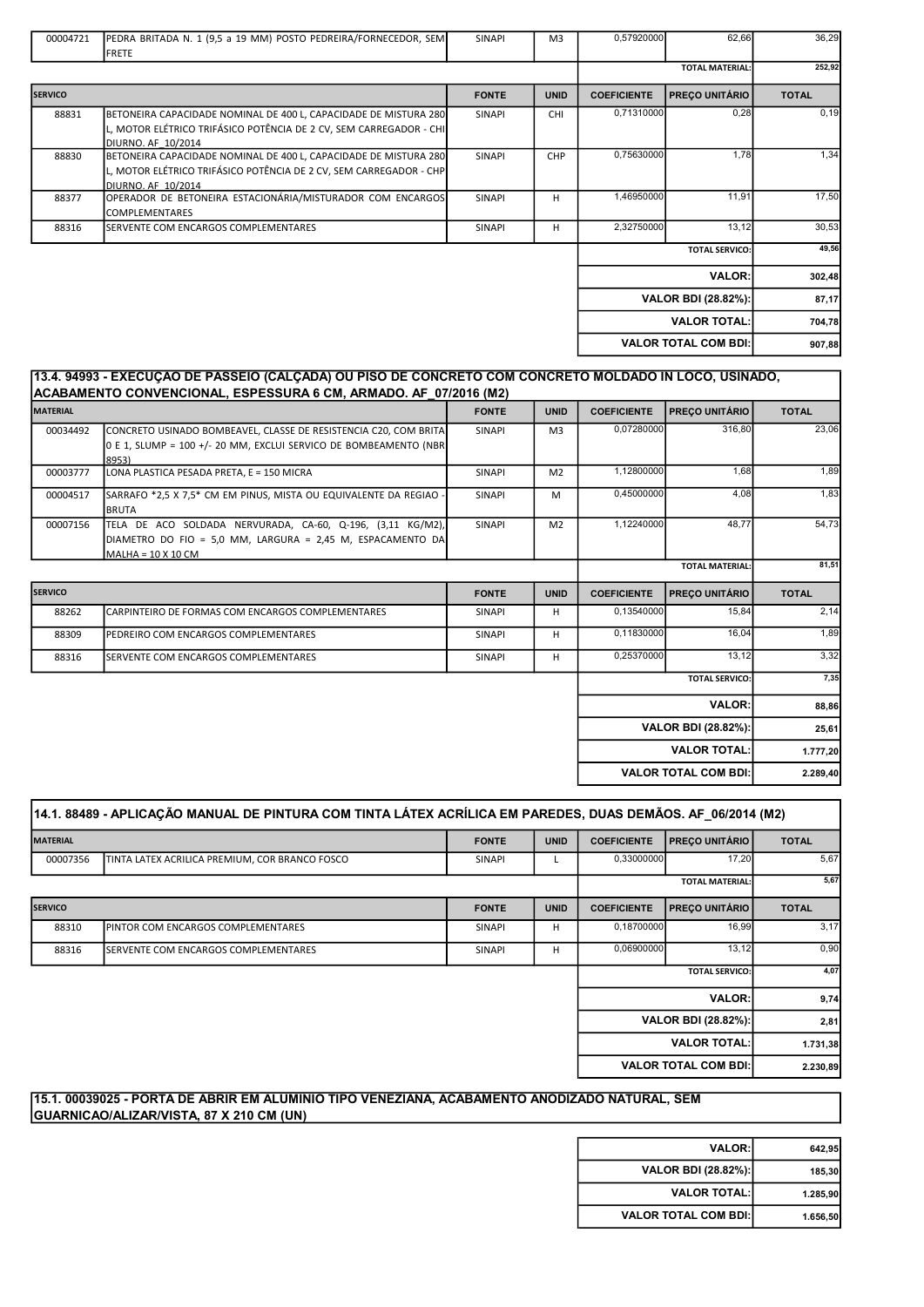| 00004721       | PEDRA BRITADA N. 1 (9,5 a 19 MM) POSTO PEDREIRA/FORNECEDOR, SEM<br><b>FRETE</b>                                                                              | SINAPI        | M <sub>3</sub> | 0,57920000         | 62,66                       | 36,29        |
|----------------|--------------------------------------------------------------------------------------------------------------------------------------------------------------|---------------|----------------|--------------------|-----------------------------|--------------|
|                |                                                                                                                                                              |               |                |                    | <b>TOTAL MATERIAL:</b>      | 252,92       |
| <b>SERVICO</b> |                                                                                                                                                              | <b>FONTE</b>  | <b>UNID</b>    | <b>COEFICIENTE</b> | <b>PREÇO UNITÁRIO</b>       | <b>TOTAL</b> |
| 88831          | BETONEIRA CAPACIDADE NOMINAL DE 400 L, CAPACIDADE DE MISTURA 280<br>L, MOTOR ELÉTRICO TRIFÁSICO POTÊNCIA DE 2 CV, SEM CARREGADOR - CHI<br>DIURNO. AF 10/2014 | <b>SINAPI</b> | <b>CHI</b>     | 0,71310000         | 0,28                        | 0, 19        |
| 88830          | BETONEIRA CAPACIDADE NOMINAL DE 400 L, CAPACIDADE DE MISTURA 280<br>L, MOTOR ELÉTRICO TRIFÁSICO POTÊNCIA DE 2 CV, SEM CARREGADOR - CHP<br>DIURNO. AF 10/2014 | SINAPI        | CHP            | 0,75630000         | 1,78                        | 1,34         |
| 88377          | OPERADOR DE BETONEIRA ESTACIONÁRIA/MISTURADOR COM ENCARGOS<br><b>COMPLEMENTARES</b>                                                                          | SINAPI        | н              | 1,46950000         | 11,91                       | 17,50        |
| 88316          | SERVENTE COM ENCARGOS COMPLEMENTARES                                                                                                                         | <b>SINAPI</b> | н              | 2,32750000         | 13,12                       | 30,53        |
|                |                                                                                                                                                              |               |                |                    | <b>TOTAL SERVICO:</b>       | 49,56        |
|                |                                                                                                                                                              |               |                |                    | <b>VALOR:</b>               | 302,48       |
|                |                                                                                                                                                              |               |                |                    | VALOR BDI (28.82%):         | 87,17        |
|                |                                                                                                                                                              |               |                |                    | <b>VALOR TOTAL:</b>         | 704,78       |
|                |                                                                                                                                                              |               |                |                    | <b>VALOR TOTAL COM BDI:</b> | 907,88       |
|                |                                                                                                                                                              |               |                |                    |                             |              |

|                 | 13.4. 94993 - EXECUÇÃO DE PASSEIO (CALÇÃDA) OU PISO DE CONCRETO COM CONCRETO MOLDADO IN LOCO, USINADO,<br>ACABAMENTO CONVENCIONAL, ESPESSURA 6 CM, ARMADO. AF  07/2016 (M2) |               |                |                    |                        |                |
|-----------------|-----------------------------------------------------------------------------------------------------------------------------------------------------------------------------|---------------|----------------|--------------------|------------------------|----------------|
| <b>MATERIAL</b> |                                                                                                                                                                             | <b>FONTE</b>  | <b>UNID</b>    | <b>COEFICIENTE</b> | <b>PREÇO UNITÁRIO</b>  | <b>TOTAL</b>   |
| 00034492        | CONCRETO USINADO BOMBEAVEL, CLASSE DE RESISTENCIA C20, COM BRITA<br>0 E 1, SLUMP = 100 +/- 20 MM, EXCLUI SERVICO DE BOMBEAMENTO (NBR<br>8953)                               | SINAPI        | M <sub>3</sub> | 0,07280000         | 316,80                 | 23,06          |
| 00003777        | LONA PLASTICA PESADA PRETA. E = 150 MICRA                                                                                                                                   | <b>SINAPI</b> | M <sub>2</sub> | 1,12800000         | 1,68                   | 1,89           |
| 00004517        | SARRAFO *2,5 X 7,5* CM EM PINUS, MISTA OU EQUIVALENTE DA REGIAO<br><b>BRUTA</b>                                                                                             | SINAPI        | M              | 0,45000000         | 4,08                   | 1,83           |
| 00007156        | TELA DE ACO SOLDADA NERVURADA, CA-60, Q-196, (3,11 KG/M2),<br>DIAMETRO DO FIO = 5,0 MM, LARGURA = 2,45 M, ESPACAMENTO DA<br>MALHA = 10 X 10 CM                              | SINAPI        | M <sub>2</sub> | 1,12240000         | 48,77                  | 54,73          |
|                 |                                                                                                                                                                             |               |                |                    | <b>TOTAL MATERIAL:</b> | 81,51          |
| <b>SERVICO</b>  |                                                                                                                                                                             | <b>FONTE</b>  | <b>UNID</b>    | <b>COEFICIENTE</b> | PREÇO UNITÁRIO         | <b>TOTAL</b>   |
| 88262           |                                                                                                                                                                             |               |                |                    |                        |                |
|                 | CARPINTEIRO DE FORMAS COM ENCARGOS COMPLEMENTARES                                                                                                                           | SINAPI        | н              | 0,13540000         | 15,84                  | 2,14           |
| 88309           | PEDREIRO COM ENCARGOS COMPLEMENTARES                                                                                                                                        | <b>SINAPI</b> | H              | 0,11830000         | 16,04                  |                |
| 88316           | SERVENTE COM ENCARGOS COMPLEMENTARES                                                                                                                                        | SINAPI        | H              | 0,25370000         | 13,12                  | 1,89<br>3,32   |
|                 |                                                                                                                                                                             |               |                |                    | <b>TOTAL SERVICO:</b>  | 7,35           |
|                 |                                                                                                                                                                             |               |                |                    | <b>VALOR:</b>          |                |
|                 |                                                                                                                                                                             |               |                |                    | VALOR BDI (28.82%):    | 88,86<br>25,61 |
|                 |                                                                                                                                                                             |               |                |                    | <b>VALOR TOTAL:</b>    | 1.777,20       |

|                 | 14.1. 88489 - APLICAÇÃO MANUAL DE PINTURA COM TINTA LÁTEX ACRÍLICA EM PAREDES, DUAS DEMÃOS. AF_06/2014 (M2) |               |             |                    |                             |              |  |
|-----------------|-------------------------------------------------------------------------------------------------------------|---------------|-------------|--------------------|-----------------------------|--------------|--|
| <b>MATERIAL</b> |                                                                                                             | <b>FONTE</b>  | <b>UNID</b> | <b>COEFICIENTE</b> | <b>PRECO UNITÁRIO</b>       | <b>TOTAL</b> |  |
| 00007356        | TINTA LATEX ACRILICA PREMIUM, COR BRANCO FOSCO                                                              | SINAPI        |             | 0,33000000         | 17,20                       | 5,67         |  |
|                 |                                                                                                             |               |             |                    | <b>TOTAL MATERIAL:</b>      | 5,67         |  |
| <b>SERVICO</b>  |                                                                                                             | <b>FONTE</b>  | <b>UNID</b> | <b>COEFICIENTE</b> | <b>PRECO UNITÁRIO</b>       | <b>TOTAL</b> |  |
| 88310           | <b>IPINTOR COM ENCARGOS COMPLEMENTARES</b>                                                                  | <b>SINAPI</b> | н           | 0,18700000         | 16,99                       | 3,17         |  |
| 88316           | <b>I</b> SERVENTE COM ENCARGOS COMPLEMENTARES                                                               | <b>SINAPI</b> | н           | 0,06900000         | 13,12                       | 0,90         |  |
|                 |                                                                                                             |               |             |                    | <b>TOTAL SERVICO:</b>       | 4,07         |  |
|                 |                                                                                                             |               |             |                    | <b>VALOR:</b>               | 9,74         |  |
|                 |                                                                                                             |               |             |                    | <b>VALOR BDI (28.82%):</b>  | 2,81         |  |
|                 |                                                                                                             |               |             |                    | <b>VALOR TOTAL:</b>         | 1.731,38     |  |
|                 |                                                                                                             |               |             |                    | <b>VALOR TOTAL COM BDI:</b> | 2.230,89     |  |
|                 |                                                                                                             |               |             |                    |                             |              |  |

#### 15.1. 00039025 - PORTA DE ABRIR EM ALUMINIO TIPO VENEZIANA, ACABAMENTO ANODIZADO NATURAL, SEM GUARNICAO/ALIZAR/VISTA, 87 X 210 CM (UN)

| <b>VALOR:</b>               | 642,95   |
|-----------------------------|----------|
| VALOR BDI (28.82%):         | 185,30   |
| <b>VALOR TOTAL:</b>         | 1.285.90 |
| <b>VALOR TOTAL COM BDI:</b> | 1.656.50 |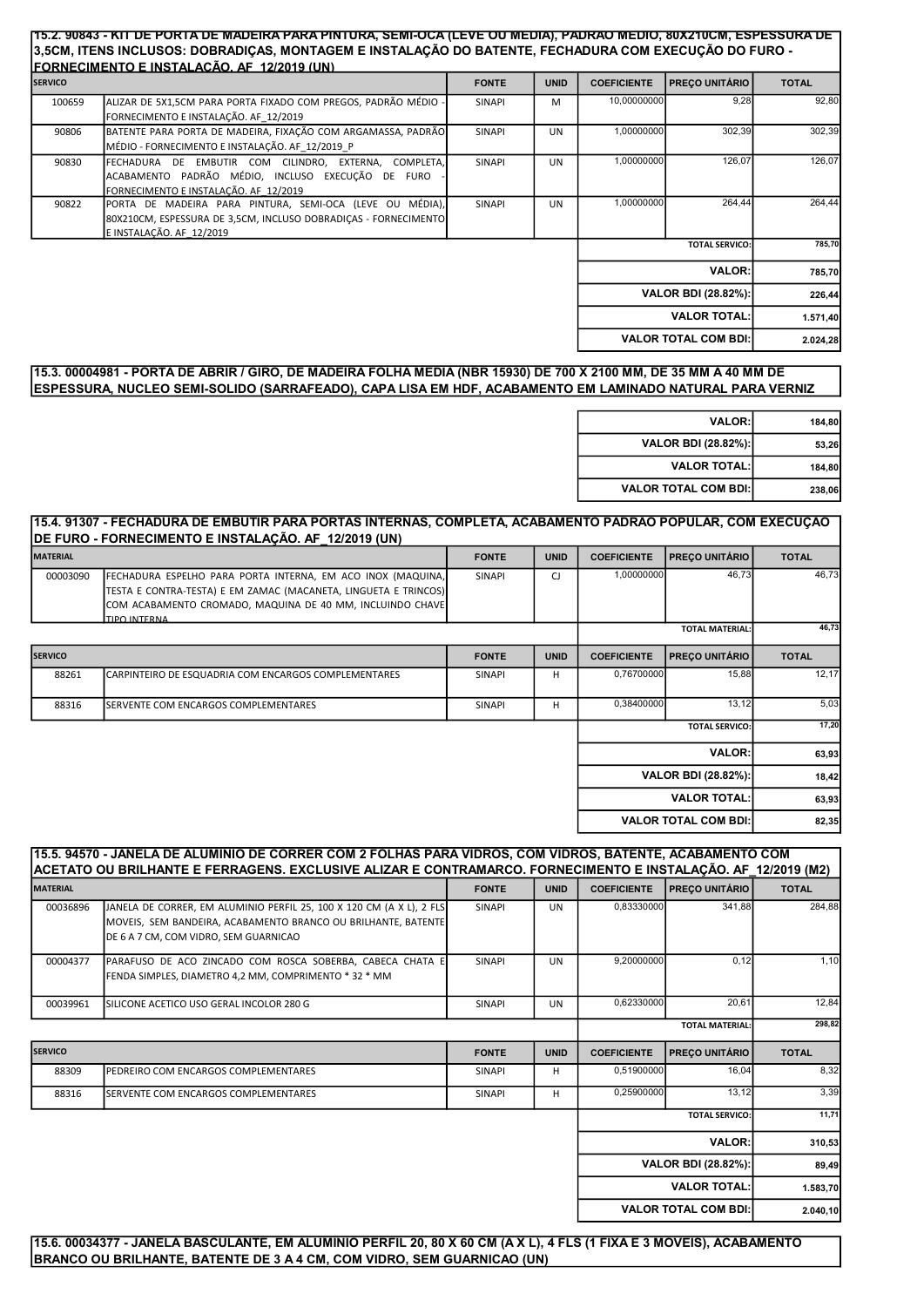#### 15.2. 90843 - KIT DE PORTA DE MADEIRA PARA PINTURA, SEMI-OCA (LEVE OU MÉDIA), PADRÃO MÉDIO, 80X210CM, ESPESSURA DE 3,5CM, ITENS INCLUSOS: DOBRADIÇAS, MONTAGEM E INSTALAÇÃO DO BATENTE, FECHADURA COM EXECUÇÃO DO FURO - FORNECIMENTO E INSTALAÇÃO. AF\_12/2019 (UN)

| <b>SERVICO</b> |                                                                                                                                                         | <b>FONTE</b>  | <b>UNID</b> | <b>COEFICIENTE</b> | <b>PRECO UNITÁRIO</b>       | <b>TOTAL</b> |
|----------------|---------------------------------------------------------------------------------------------------------------------------------------------------------|---------------|-------------|--------------------|-----------------------------|--------------|
| 100659         | ALIZAR DE 5X1,5CM PARA PORTA FIXADO COM PREGOS, PADRÃO MÉDIO -<br>FORNECIMENTO E INSTALAÇÃO. AF 12/2019                                                 | <b>SINAPI</b> | M           | 10,00000000        | 9,28                        | 92,80        |
| 90806          | BATENTE PARA PORTA DE MADEIRA, FIXAÇÃO COM ARGAMASSA, PADRÃO<br>MÉDIO - FORNECIMENTO E INSTALAÇÃO. AF 12/2019 P                                         | <b>SINAPI</b> | <b>UN</b>   | 1,00000000         | 302,39                      | 302,39       |
| 90830          | FECHADURA DE EMBUTIR COM CILINDRO, EXTERNA,<br>COMPLETA.<br>ACABAMENTO PADRÃO MÉDIO, INCLUSO EXECUÇÃO DE FURO<br>FORNECIMENTO E INSTALAÇÃO. AF 12/2019  | <b>SINAPI</b> | <b>UN</b>   | 1,00000000         | 126,07                      | 126,07       |
| 90822          | PORTA DE MADEIRA PARA PINTURA, SEMI-OCA (LEVE OU MÉDIA),<br>80X210CM, ESPESSURA DE 3,5CM, INCLUSO DOBRADICAS - FORNECIMENTO<br>E INSTALAÇÃO. AF 12/2019 | <b>SINAPI</b> | <b>UN</b>   | 1,00000000         | 264,44                      | 264,44       |
|                |                                                                                                                                                         |               |             |                    | <b>TOTAL SERVICO:</b>       | 785,70       |
|                |                                                                                                                                                         |               |             |                    | <b>VALOR:</b>               | 785,70       |
|                |                                                                                                                                                         |               |             |                    | <b>VALOR BDI (28.82%):</b>  | 226,44       |
|                |                                                                                                                                                         |               |             |                    | <b>VALOR TOTAL:</b>         | 1.571,40     |
|                |                                                                                                                                                         |               |             |                    | <b>VALOR TOTAL COM BDI:</b> | 2.024,28     |

## 15.3. 00004981 - PORTA DE ABRIR / GIRO, DE MADEIRA FOLHA MEDIA (NBR 15930) DE 700 X 2100 MM, DE 35 MM A 40 MM DE ESPESSURA, NUCLEO SEMI-SOLIDO (SARRAFEADO), CAPA LISA EM HDF, ACABAMENTO EM LAMINADO NATURAL PARA VERNIZ

| 184,80 | <b>VALOR:</b>               |
|--------|-----------------------------|
| 53,26  | VALOR BDI (28.82%):         |
| 184,80 | <b>VALOR TOTAL:</b>         |
| 238,06 | <b>VALOR TOTAL COM BDI:</b> |

## 15.4. 91307 - FECHADURA DE EMBUTIR PARA PORTAS INTERNAS, COMPLETA, ACABAMENTO PADRÃO POPULAR, COM EXECUÇÃO DE FURO - FORNECIMENTO E INSTALAÇÃO. AF\_12/2019 (UN)

| <b>MATERIAL</b> |                                                                 | <b>FONTE</b>  | <b>UNID</b> | <b>COEFICIENTE</b> | <b>PRECO UNITÁRIO</b>       | <b>TOTAL</b> |
|-----------------|-----------------------------------------------------------------|---------------|-------------|--------------------|-----------------------------|--------------|
| 00003090        | FECHADURA ESPELHO PARA PORTA INTERNA, EM ACO INOX (MAQUINA,     | <b>SINAPI</b> | CJ          | 1,00000000         | 46.73                       | 46,73        |
|                 | TESTA E CONTRA-TESTA) E EM ZAMAC (MACANETA, LINGUETA E TRINCOS) |               |             |                    |                             |              |
|                 | COM ACABAMENTO CROMADO, MAQUINA DE 40 MM, INCLUINDO CHAVE       |               |             |                    |                             |              |
|                 | TIPO INTERNA                                                    |               |             |                    |                             |              |
|                 |                                                                 |               |             |                    | <b>TOTAL MATERIAL:</b>      | 46,73        |
| <b>SERVICO</b>  |                                                                 | <b>FONTE</b>  | <b>UNID</b> | <b>COEFICIENTE</b> | <b>PRECO UNITÁRIO</b>       | <b>TOTAL</b> |
| 88261           | CARPINTEIRO DE ESQUADRIA COM ENCARGOS COMPLEMENTARES            | <b>SINAPI</b> | H           | 0,76700000         | 15,88                       | 12,17        |
| 88316           | SERVENTE COM ENCARGOS COMPLEMENTARES                            | <b>SINAPI</b> | H           | 0,38400000         | 13,12                       | 5,03         |
|                 |                                                                 |               |             |                    | <b>TOTAL SERVICO:</b>       | 17,20        |
|                 |                                                                 |               |             |                    | <b>VALOR:</b>               | 63,93        |
|                 |                                                                 |               |             |                    | VALOR BDI (28.82%):         | 18,42        |
|                 |                                                                 |               |             |                    | <b>VALOR TOTAL:</b>         | 63,93        |
|                 |                                                                 |               |             |                    | <b>VALOR TOTAL COM BDI:</b> | 82,35        |

|                 | 15.5. 94570 - JANELA DE ALUMINIO DE CORRER COM 2 FOLHAS PARA VIDROS, COM VIDROS, BATENTE, ACABAMENTO COM<br>ACETATO OU BRILHANTE E FERRAGENS. EXCLUSIVE ALIZAR E CONTRAMARCO. FORNECIMENTO E INSTALAÇÃO. AF  12/2019 (M2) |               |             |                    |                        |              |
|-----------------|---------------------------------------------------------------------------------------------------------------------------------------------------------------------------------------------------------------------------|---------------|-------------|--------------------|------------------------|--------------|
| <b>MATERIAL</b> |                                                                                                                                                                                                                           | <b>FONTE</b>  | <b>UNID</b> | <b>COEFICIENTE</b> | <b>PRECO UNITÁRIO</b>  | <b>TOTAL</b> |
| 00036896        | JANELA DE CORRER. EM ALUMINIO PERFIL 25. 100 X 120 CM (A X L). 2 FLS<br>MOVEIS, SEM BANDEIRA, ACABAMENTO BRANCO OU BRILHANTE, BATENTE<br>DE 6 A 7 CM. COM VIDRO. SEM GUARNICAO                                            | <b>SINAPI</b> | <b>UN</b>   | 0,83330000         | 341.88                 | 284,88       |
| 00004377        | PARAFUSO DE ACO ZINCADO COM ROSCA SOBERBA. CABECA CHATA E<br>FENDA SIMPLES, DIAMETRO 4,2 MM, COMPRIMENTO * 32 * MM                                                                                                        | <b>SINAPI</b> | <b>UN</b>   | 9,20000000         | 0,12                   | 1,10         |
| 00039961        | SILICONE ACETICO USO GERAL INCOLOR 280 G                                                                                                                                                                                  | <b>SINAPI</b> | <b>UN</b>   | 0,62330000         | 20,61                  | 12,84        |
|                 |                                                                                                                                                                                                                           |               |             |                    | <b>TOTAL MATERIAL:</b> | 298,82       |
| <b>SERVICO</b>  |                                                                                                                                                                                                                           | <b>FONTE</b>  | <b>UNID</b> | <b>COEFICIENTE</b> | <b>PREÇO UNITÁRIO</b>  | <b>TOTAL</b> |
|                 |                                                                                                                                                                                                                           |               |             |                    |                        |              |
| 88309           | PEDREIRO COM ENCARGOS COMPLEMENTARES                                                                                                                                                                                      | <b>SINAPI</b> | н           | 0.51900000         | 16.04                  | 8,32         |
| 88316           | SERVENTE COM ENCARGOS COMPLEMENTARES                                                                                                                                                                                      | <b>SINAPI</b> | H           | 0,25900000         | 13,12                  | 3,39         |
|                 |                                                                                                                                                                                                                           |               |             |                    | <b>TOTAL SERVICO:</b>  | 11,71        |
|                 |                                                                                                                                                                                                                           |               |             |                    | <b>VALOR:</b>          | 310,53       |
|                 |                                                                                                                                                                                                                           |               |             |                    | VALOR BDI (28.82%):    | 89.49        |
|                 |                                                                                                                                                                                                                           |               |             |                    | <b>VALOR TOTAL:</b>    | 1.583,70     |

15.6. 00034377 - JANELA BASCULANTE, EM ALUMINIO PERFIL 20, 80 X 60 CM (A X L), 4 FLS (1 FIXA E 3 MOVEIS), ACABAMENTO BRANCO OU BRILHANTE, BATENTE DE 3 A 4 CM, COM VIDRO, SEM GUARNICAO (UN)